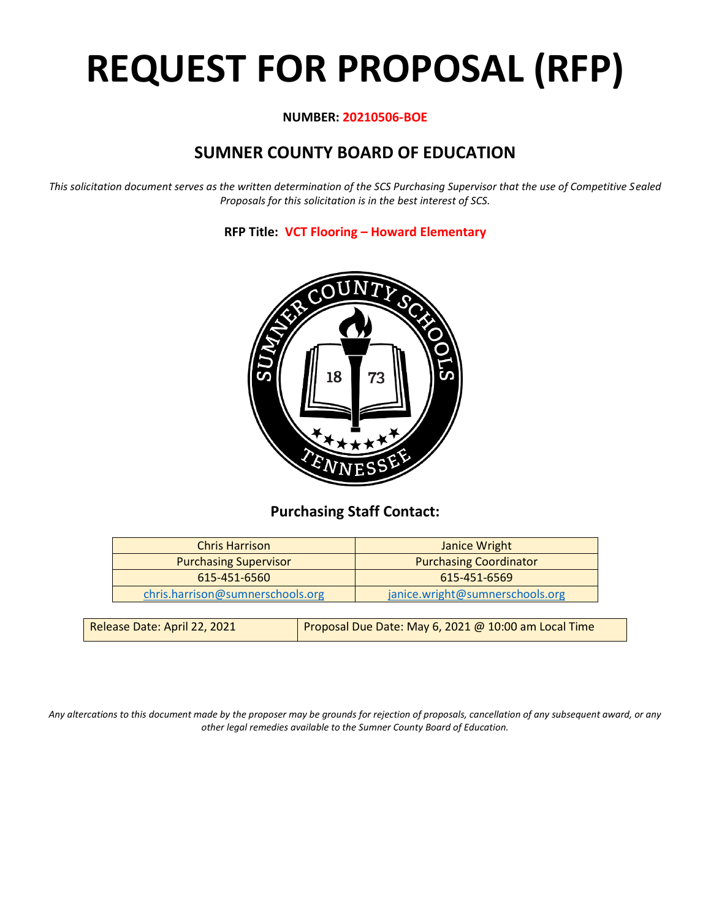# **REQUEST FOR PROPOSAL (RFP)**

## **NUMBER: 20210506-BOE**

## **SUMNER COUNTY BOARD OF EDUCATION**

*This solicitation document serves as the written determination of the SCS Purchasing Supervisor that the use of Competitive Sealed Proposals for this solicitation is in the best interest of SCS.*

**RFP Title: VCT Flooring – Howard Elementary**



## **Purchasing Staff Contact:**

| <b>Chris Harrison</b>            | Janice Wright                   |
|----------------------------------|---------------------------------|
| <b>Purchasing Supervisor</b>     | <b>Purchasing Coordinator</b>   |
| 615-451-6560                     | 615-451-6569                    |
| chris.harrison@sumnerschools.org | janice.wright@sumnerschools.org |
|                                  |                                 |

| Release Date: April 22, 2021 | Proposal Due Date: May 6, 2021 @ 10:00 am Local Time |
|------------------------------|------------------------------------------------------|
|                              |                                                      |

*Any altercations to this document made by the proposer may be grounds for rejection of proposals, cancellation of any subsequent award, or any other legal remedies available to the Sumner County Board of Education.*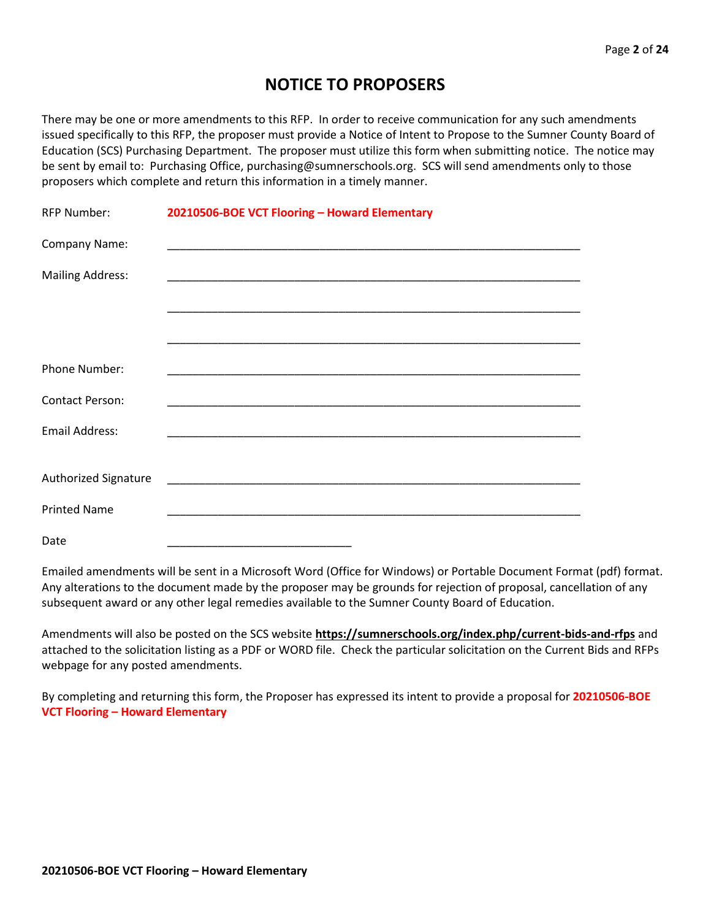## **NOTICE TO PROPOSERS**

There may be one or more amendments to this RFP. In order to receive communication for any such amendments issued specifically to this RFP, the proposer must provide a Notice of Intent to Propose to the Sumner County Board of Education (SCS) Purchasing Department. The proposer must utilize this form when submitting notice. The notice may be sent by email to: Purchasing Office, purchasing@sumnerschools.org. SCS will send amendments only to those proposers which complete and return this information in a timely manner.

| <b>RFP Number:</b>      | 20210506-BOE VCT Flooring - Howard Elementary               |
|-------------------------|-------------------------------------------------------------|
| Company Name:           |                                                             |
| <b>Mailing Address:</b> |                                                             |
|                         |                                                             |
|                         |                                                             |
| Phone Number:           |                                                             |
| <b>Contact Person:</b>  | <u> 1989 - Johann Stoff, amerikansk politiker (d. 1989)</u> |
| <b>Email Address:</b>   |                                                             |
|                         |                                                             |
| Authorized Signature    |                                                             |
| <b>Printed Name</b>     |                                                             |
| Date                    |                                                             |

Emailed amendments will be sent in a Microsoft Word (Office for Windows) or Portable Document Format (pdf) format. Any alterations to the document made by the proposer may be grounds for rejection of proposal, cancellation of any subsequent award or any other legal remedies available to the Sumner County Board of Education.

Amendments will also be posted on the SCS website **https://sumnerschools.org/index.php/current-bids-and-rfps** and attached to the solicitation listing as a PDF or WORD file. Check the particular solicitation on the Current Bids and RFPs webpage for any posted amendments.

By completing and returning this form, the Proposer has expressed its intent to provide a proposal for **20210506-BOE VCT Flooring – Howard Elementary**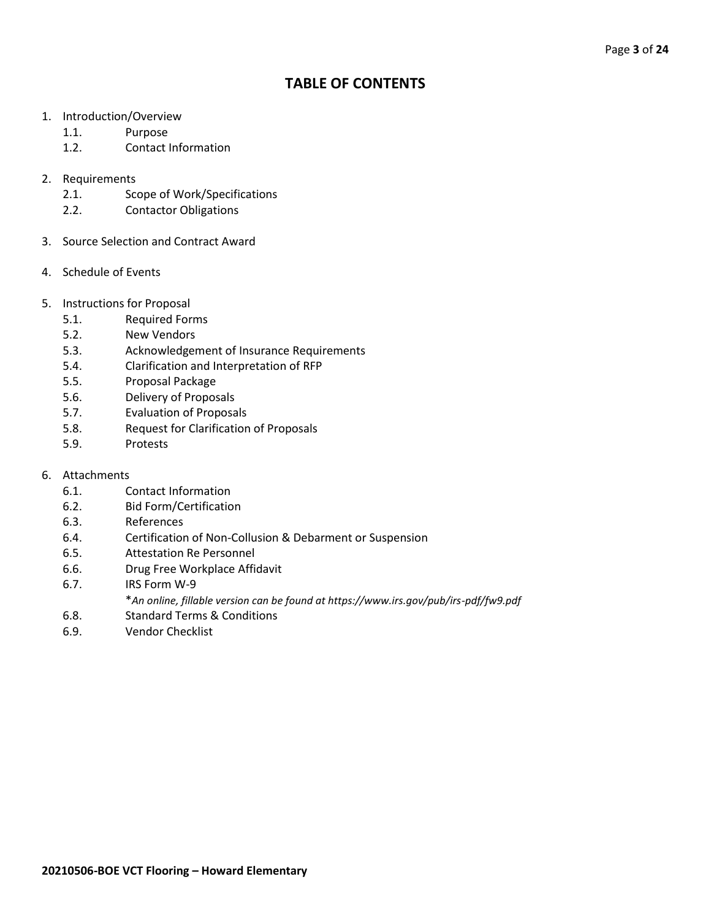## **TABLE OF CONTENTS**

- 1. Introduction/Overview
	- 1.1. Purpose
	- 1.2. Contact Information
- 2. Requirements
	- 2.1. Scope of Work/Specifications
	- 2.2. Contactor Obligations
- 3. Source Selection and Contract Award
- 4. Schedule of Events
- 5. Instructions for Proposal
	- 5.1. Required Forms
	- 5.2. New Vendors
	- 5.3. Acknowledgement of Insurance Requirements
	- 5.4. Clarification and Interpretation of RFP
	- 5.5. Proposal Package
	- 5.6. Delivery of Proposals
	- 5.7. Evaluation of Proposals
	- 5.8. Request for Clarification of Proposals
	- 5.9. Protests
- 6. Attachments
	- 6.1. Contact Information
	- 6.2. Bid Form/Certification
	- 6.3. References
	- 6.4. Certification of Non-Collusion & Debarment or Suspension
	- 6.5. Attestation Re Personnel
	- 6.6. Drug Free Workplace Affidavit
	- 6.7. IRS Form W-9
		- \**An online, fillable version can be found at https://www.irs.gov/pub/irs-pdf/fw9.pdf*
	- 6.8. Standard Terms & Conditions
	- 6.9. Vendor Checklist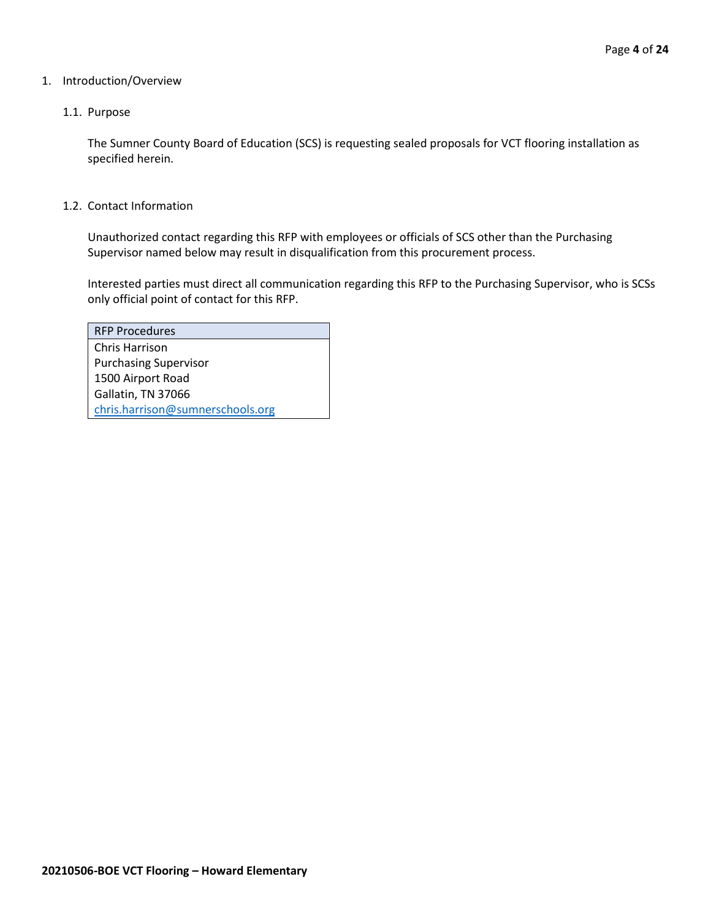## 1. Introduction/Overview

## 1.1. Purpose

The Sumner County Board of Education (SCS) is requesting sealed proposals for VCT flooring installation as specified herein.

## 1.2. Contact Information

Unauthorized contact regarding this RFP with employees or officials of SCS other than the Purchasing Supervisor named below may result in disqualification from this procurement process.

Interested parties must direct all communication regarding this RFP to the Purchasing Supervisor, who is SCSs only official point of contact for this RFP.

| <b>RFP Procedures</b>            |
|----------------------------------|
| Chris Harrison                   |
| <b>Purchasing Supervisor</b>     |
| 1500 Airport Road                |
| Gallatin, TN 37066               |
| chris.harrison@sumnerschools.org |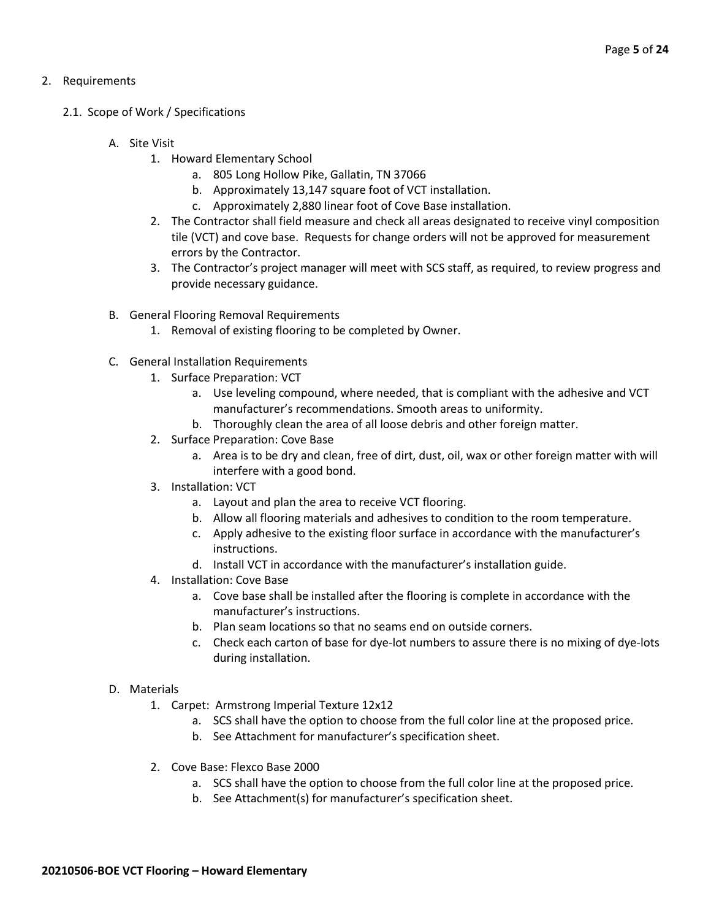## 2. Requirements

- 2.1. Scope of Work / Specifications
	- A. Site Visit
		- 1. Howard Elementary School
			- a. 805 Long Hollow Pike, Gallatin, TN 37066
			- b. Approximately 13,147 square foot of VCT installation.
			- c. Approximately 2,880 linear foot of Cove Base installation.
		- 2. The Contractor shall field measure and check all areas designated to receive vinyl composition tile (VCT) and cove base. Requests for change orders will not be approved for measurement errors by the Contractor.
		- 3. The Contractor's project manager will meet with SCS staff, as required, to review progress and provide necessary guidance.
	- B. General Flooring Removal Requirements
		- 1. Removal of existing flooring to be completed by Owner.
	- C. General Installation Requirements
		- 1. Surface Preparation: VCT
			- a. Use leveling compound, where needed, that is compliant with the adhesive and VCT manufacturer's recommendations. Smooth areas to uniformity.
			- b. Thoroughly clean the area of all loose debris and other foreign matter.
		- 2. Surface Preparation: Cove Base
			- a. Area is to be dry and clean, free of dirt, dust, oil, wax or other foreign matter with will interfere with a good bond.
		- 3. Installation: VCT
			- a. Layout and plan the area to receive VCT flooring.
			- b. Allow all flooring materials and adhesives to condition to the room temperature.
			- c. Apply adhesive to the existing floor surface in accordance with the manufacturer's instructions.
			- d. Install VCT in accordance with the manufacturer's installation guide.
		- 4. Installation: Cove Base
			- a. Cove base shall be installed after the flooring is complete in accordance with the manufacturer's instructions.
			- b. Plan seam locations so that no seams end on outside corners.
			- c. Check each carton of base for dye-lot numbers to assure there is no mixing of dye-lots during installation.

## D. Materials

- 1. Carpet: Armstrong Imperial Texture 12x12
	- a. SCS shall have the option to choose from the full color line at the proposed price.
	- b. See Attachment for manufacturer's specification sheet.
- 2. Cove Base: Flexco Base 2000
	- a. SCS shall have the option to choose from the full color line at the proposed price.
	- b. See Attachment(s) for manufacturer's specification sheet.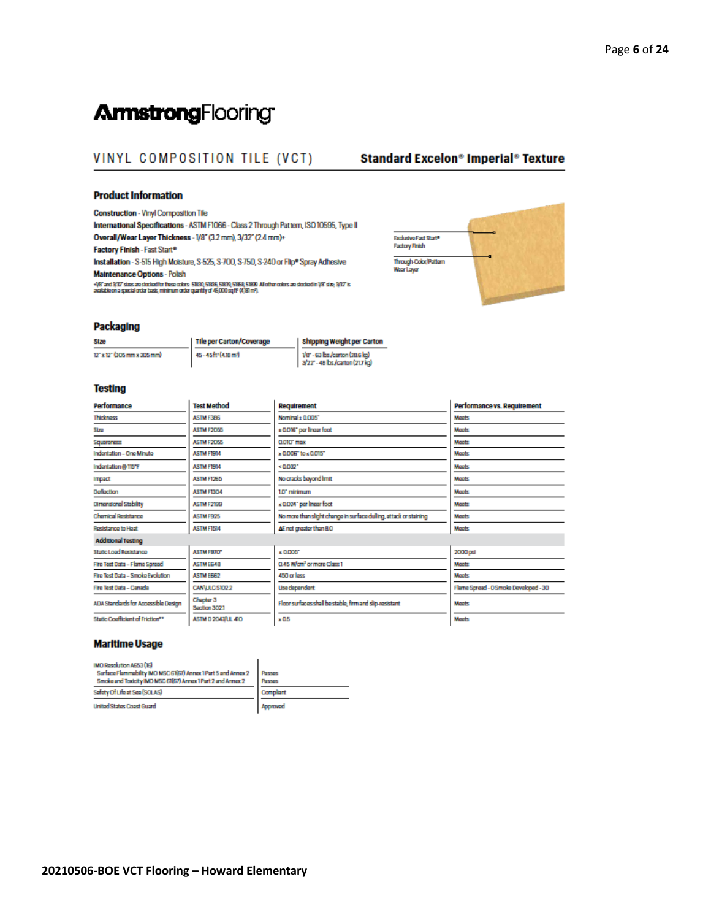## **ArmstrongFlooring**

## VINYL COMPOSITION TILE (VCT)

## **Standard Excelon® Imperial® Texture**

#### **Product Information**

Construction - Vinyl Composition Tile

International Specifications - ASTM F1066 - Class 2 Through Pattern, ISO 10595, Type II Overall/Wear Layer Thickness - 1/8" (3.2 mm), 3/32" (2.4 mm)+ Factory Finish - Fast Start<sup>®</sup>

Installation - S-515 High Moisture, S-525, S-700, S-750, S-240 or Flip\* Spray Adhesive Maintenance Options - Polish

+16° and 932° sizes are stocked for these colors. 51830, 51836, 51830, 51858, 51830. All other colors are stocked in 1/8° size; 932° is<br>available on a special order basis, minimum order quantity of 45,000 sq fif (4,181 m°)



#### **Packaging**

**Stze** 12" x 12" (305 mm x 305 mm) Tile per Carton/Coverage 45-45ft<sup>\*</sup> (418m<sup>2</sup>)

Shipping Weight per Carton .<br>1/8" - 63 bs./carton (28.6 kg)<br>3/22" - 48 bs./carton (21.7 kg)

#### **Testing**

| Performance                         | <b>Test Method</b>         | Requirement                                                       | Performance vs. Requirement           |
|-------------------------------------|----------------------------|-------------------------------------------------------------------|---------------------------------------|
| <b>Thickness</b>                    | ASTM F3B6                  | Nominal + 0.005"                                                  | <b>Machts</b>                         |
| Stre                                | ASTM F2055                 | ±0016" per linear foot                                            | <b>Macts</b>                          |
| Squareness                          | ASTM F2055                 | CLOTO" max                                                        | <b>Maets</b>                          |
| Indontation - One Minute            | <b>ASTM FISILA</b>         | » 0.006" to « 0.015"                                              | <b>Macts</b>                          |
| Indentation @ 115°F                 | <b>ASTM FISILA</b>         | <0.032*                                                           | <b>Macts</b>                          |
| Impact                              | ASTM F1265                 | No cracks beyond limit                                            | <b>Moots</b>                          |
| Deflection                          | <b>ASTM F1304</b>          | 1.0" minimum                                                      | <b>Moots</b>                          |
| Dimensional Stability               | <b>ASTM F2199</b>          | «0.024" per Insar foot                                            | <b>Moots</b>                          |
| Chemical Resistance                 | ASTMF925                   | No more than slight change in surface dulling, attack or staining | <b>Moots</b>                          |
| Rosistance to Hoat                  | ASTMF1514                  | AE not greater than B.O.                                          | <b>Moots</b>                          |
| <b>Additional Testing</b>           |                            |                                                                   |                                       |
| Static Load Resistance              | ASTMF970*                  | $\times 0005$                                                     | 2000 psi                              |
| Fire Test Data - Flame Spread       | <b>ASTME648</b>            | 0.45 W/cm <sup>2</sup> or more Class 1                            | <b>Moots</b>                          |
| Fire Test Data - Smoke Evolution    | <b>ASTM E662</b>           | 450 or loss                                                       | <b>Moots</b>                          |
| Fire Test Data - Canada             | CAN LLC ST02.2             | <b>Use dependent</b>                                              | Flame Spread - O Smoke Developed - 30 |
| ADA Standards for Accessible Design | Chapter 3<br>Saction 302.1 | Floor surfaces shall be stable, firm and slip-resistant           | <b>Moots</b>                          |
| Static Coefficient of Friction**    | <b>ASTM D 2047/UL 410</b>  | $\times 0.5$                                                      | <b>Moots</b>                          |

#### **Maritime Usage**

| IMO Resolution A653 (16)                                       |           |
|----------------------------------------------------------------|-----------|
| Surface Flammability IMO MSC 61(67) Annox 1 Part 5 and Annox 2 | Passes    |
| Smoke and Toxicity IMO MSC 61(67) Annox 1 Part 2 and Annox 2   | Passes    |
| Safety Of Life at Sea (SOLAS)                                  | Compliant |
| <b>United States Coast Guard</b>                               | Approved  |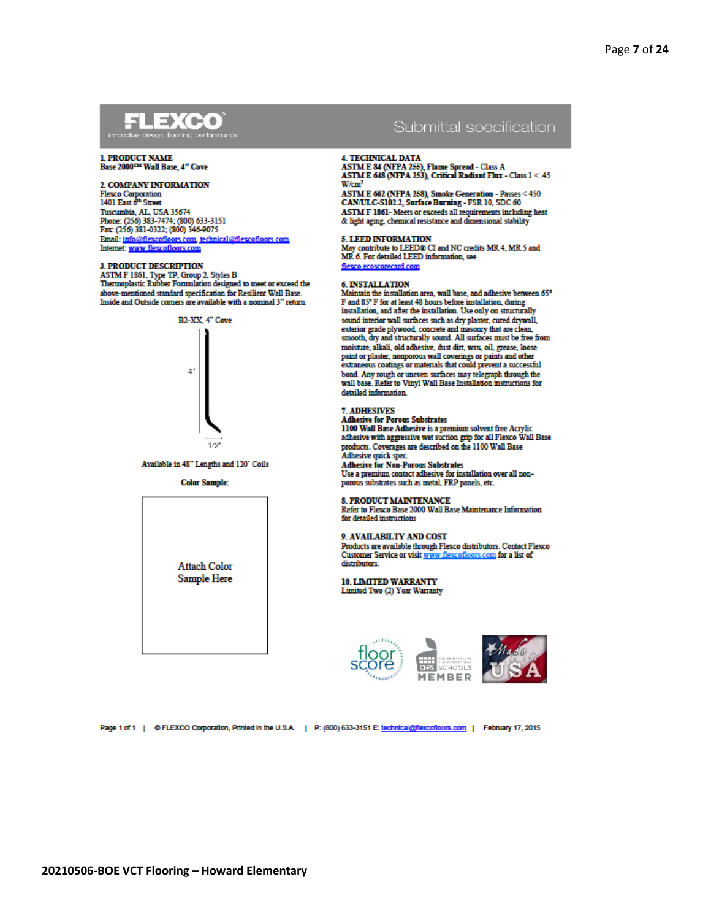## **FLEXCO**

#### **1. PRODUCT NAME** Base 2000The Wall Base, 4" Cove

2. COMPANY INFORMATION

Flexco Corporation<br>1401 East 6<sup>th</sup> Street Tuscumbia, AL, USA 35674 Phone: (256) 383-7474; (800) 633-3151 Fax: (256) 381-0322; (800) 346-9075 Email: info@flexcofloors.com, technical@flexcofloors.com<br>Internet: www.flexcofloors.com

#### **3. PRODUCT DESCRIPTION**

ASTM F 1861, Type TP, Group 2, Styles B<br>Thermoplastic Rubber Formulation designed to meet or exceed the above-mentioned standard specification for Resilient Wall Base. Inside and Outside corners are available with a nominal 3" return.



Available in 48" Lengths and 120" Coils

**Color Sample:** 



## Submittal specification

#### **4. TECHNICAL DATA**

ASTM E 84 (NFPA 255), Flame Spread - Class A ASTM E 648 (NFPA 253), Critical Radiant Flux - Class 1 < .45  $W/cm<sup>2</sup>$ 

ASTM E 662 (NFPA 258), Smoke Generation - Passes < 450 CAN/ULC-S102.2, Surface Burning - FSR 10, SDC 60 ASTM F 1861- Meets or exceeds all requirements including heat & light aging, chemical resistance and dimensional stability

#### 5. LEED INFORMATION

May contribute to LEED® CI and NC credits MR.4, MR.5 and MR 6 For detailed LEED information, see flexco ecoscorecard com-

#### 6. INSTALLATION

Maintain the installation area, wall base, and adhesive between 65° F and 85° F for at least 48 hours before installation, during installation, and after the installation. Use only on structurally sound interior wall surfaces such as dry plaster, cured drywall, exterior grade plywood, concrete and masonry that are clean. smooth, dry and structurally sound. All surfaces must be free from moisture, alkali, old adhesive, dust dirt, wax, oil, grease, loose paint or plaster, nonporous wall coverings or paints and other extraneous coatings or materials that could prevent a successful bond. Any rough or uneven surfaces may telegraph through the wall base. Refer to Vinyl Wall Base Installation instructions for detailed information.

#### **7. ADHESIVES**

Adhesive for Porous Substrates<br>1100 Wall Base Adhesive is a premium solvent free Acrylic<br>adhesive with aggressive wet suction grip for all Flexco Wall Base products. Coverages are described on the 1100 Wall Base Adhesive quick spec.

#### **Adhesive for Non-Porous Substrates**

Use a premium contact adhesive for installation over all nonporous substrates such as metal. FRP panels, etc.

#### 8. PRODUCT MAINTENANCE

Refer to Flexco Base 2000 Wall Base Maintenance Information for detailed instructions

#### 9. AVAILABILTY AND COST

Products are available through Flexco distributors. Contact Flexco Customer Service or visit www.flexcofloors.com for a list of distributors

**10. LIMITED WARRANTY** Limited Two (2) Year Warranty





Page 1 of 1 | © FLEXCO Corporation, Printed in the U.S.A. | P: (800) 633-3151 E: technical@flexcofloors.com | February 17, 2015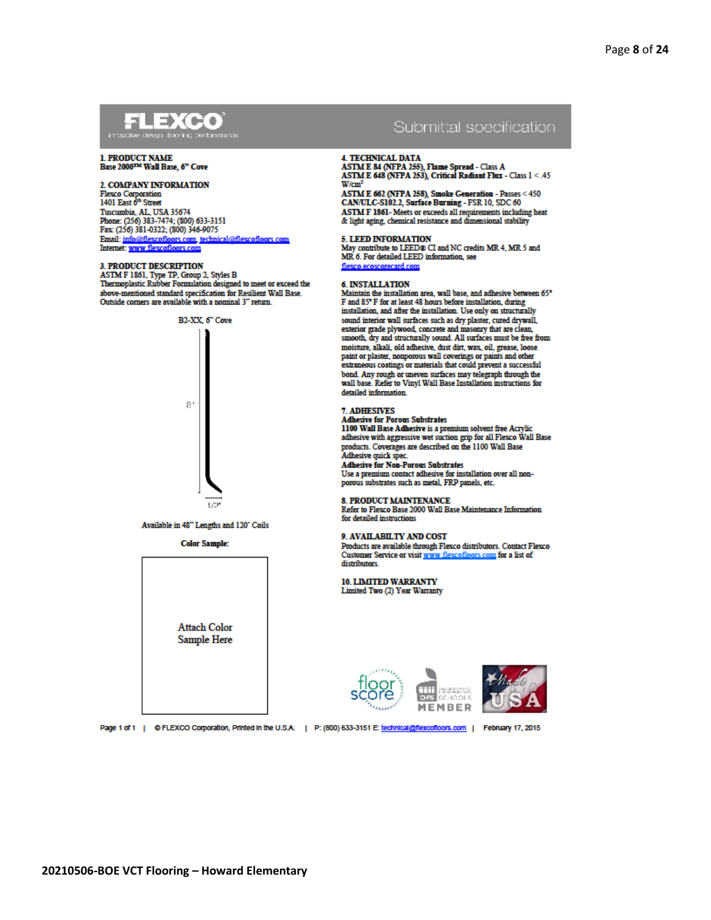## **FLEXCO**

#### **1. PRODUCT NAME** Base 2000The Wall Base, 6" Cove

2. COMPANY INFORMATION Flexco Corporation<br>1401 East 6<sup>th</sup> Street

Tuscumbia, AL, USA 35674 Phone: (256) 383-7474; (800) 633-3151 Fax: (256) 381-0322; (800) 346-9075 Email: info@flexcofloors.com, technical@flexcofloors.com<br>Internet: www.flexcofloors.com

#### **3. PRODUCT DESCRIPTION**

ASTM F 1861, Type TP, Group 2, Styles B<br>Thermoplastic Rubber Formulation designed to meet or exceed the above-mentioned standard specification for Resilient Wall Base. Outside corners are available with a nominal 3" return.



Available in 48" Lengths and 120" Coils

**Color Sample:** 





#### **4. TECHNICAL DATA**

ASTM E 84 (NFPA 255), Flame Spread - Class A ASTM E 648 (NFPA 253), Critical Radiant Flux - Class 1 < .45  $W/cm<sup>2</sup>$ 

ASTM E 662 (NFPA 258), Smoke Generation - Passes < 450 CAN/ULC-S102.2, Surface Burning - FSR 10, SDC 60 ASTM F 1861- Meets or exceeds all requirements including heat & light aging, chemical resistance and dimensional stability

## 5. LEED INFORMATION

May contribute to LEED® CI and NC credits MR.4, MR.5 and MR 6 For detailed LEED information, see flexco.ecoscorecard.com

#### 6. INSTALLATION

or a systematic include in the installation area, wall base, and adhesive between 65°<br>F and 85° F for at least 48 hours before installation, during installation, and after the installation. Use only on structurally sound interior wall surfaces such as dry plaster, cured drywall, exterior grade plywood, concrete and masonry that are clean. smooth, dry and structurally sound. All surfaces must be free from moisture, alkali, old adhesive, dust dirt, wax, oil, grease, loose paint or plaster, nonporous wall coverings or paints and other extraneous coatings or materials that could prevent a successful bond. Any rough or uneven surfaces may telegraph through the wall base. Refer to Vinyl Wall Base Installation instructions for detailed information.

#### **7. ADHESIVES**

Adhesive for Porous Substrates<br>1100 Wall Base Adhesive is a premium solvent free Acrylic<br>adhesive with aggressive wet suction grip for all Flexco Wall Base products. Coverages are described on the 1100 Wall Base Adhesive quick spec.

## **Adhesive for Non-Porous Substrates**

Use a premium contact adhesive for installation over all nonporous substrates such as metal. FRP panels, etc.

#### 8. PRODUCT MAINTENANCE

Refer to Flexco Base 2000 Wall Base Maintenance Information for detailed instructions

#### 9. AVAILABILTY AND COST

Products are available through Flexco distributors. Contact Flexco Customer Service or visit www.flexcofloors.com for a list of distributors

**10. LIMITED WARRANTY** Limited Two (2) Year Warranty





Page 1 of 1 | © FLEXCO Corporation, Printed in the U.S.A. | P: (800) 633-3151 E: technical@flexcofloors.com | February 17, 2015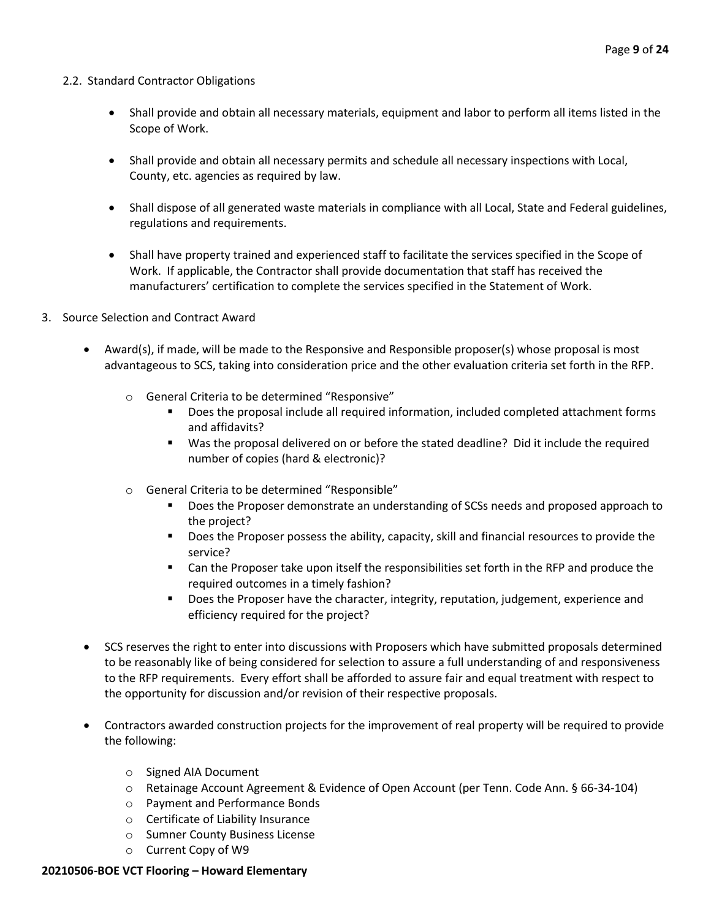## 2.2. Standard Contractor Obligations

- Shall provide and obtain all necessary materials, equipment and labor to perform all items listed in the Scope of Work.
- Shall provide and obtain all necessary permits and schedule all necessary inspections with Local, County, etc. agencies as required by law.
- Shall dispose of all generated waste materials in compliance with all Local, State and Federal guidelines, regulations and requirements.
- Shall have property trained and experienced staff to facilitate the services specified in the Scope of Work. If applicable, the Contractor shall provide documentation that staff has received the manufacturers' certification to complete the services specified in the Statement of Work.
- 3. Source Selection and Contract Award
	- Award(s), if made, will be made to the Responsive and Responsible proposer(s) whose proposal is most advantageous to SCS, taking into consideration price and the other evaluation criteria set forth in the RFP.
		- o General Criteria to be determined "Responsive"
			- Does the proposal include all required information, included completed attachment forms and affidavits?
			- Was the proposal delivered on or before the stated deadline? Did it include the required number of copies (hard & electronic)?
		- o General Criteria to be determined "Responsible"
			- Does the Proposer demonstrate an understanding of SCSs needs and proposed approach to the project?
			- Does the Proposer possess the ability, capacity, skill and financial resources to provide the service?
			- Can the Proposer take upon itself the responsibilities set forth in the RFP and produce the required outcomes in a timely fashion?
			- **■** Does the Proposer have the character, integrity, reputation, judgement, experience and efficiency required for the project?
	- SCS reserves the right to enter into discussions with Proposers which have submitted proposals determined to be reasonably like of being considered for selection to assure a full understanding of and responsiveness to the RFP requirements. Every effort shall be afforded to assure fair and equal treatment with respect to the opportunity for discussion and/or revision of their respective proposals.
	- Contractors awarded construction projects for the improvement of real property will be required to provide the following:
		- o Signed AIA Document
		- o Retainage Account Agreement & Evidence of Open Account (per Tenn. Code Ann. § 66-34-104)
		- o Payment and Performance Bonds
		- o Certificate of Liability Insurance
		- o Sumner County Business License
		- o Current Copy of W9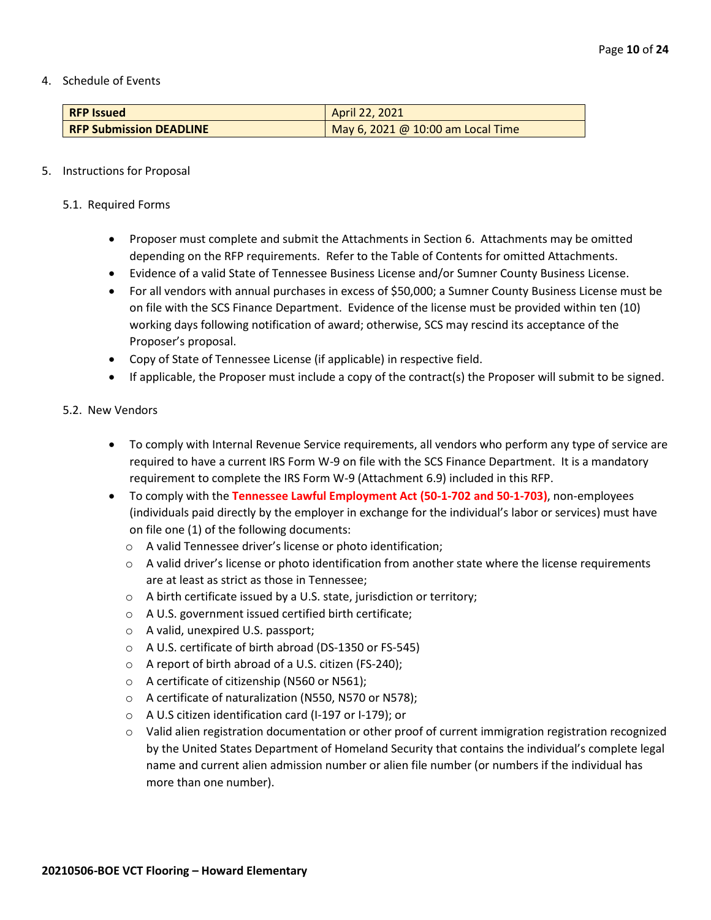4. Schedule of Events

| <b>RFP Issued</b>              | April 22, 2021                    |
|--------------------------------|-----------------------------------|
| <b>RFP Submission DEADLINE</b> | May 6, 2021 @ 10:00 am Local Time |

## 5. Instructions for Proposal

- 5.1. Required Forms
	- Proposer must complete and submit the Attachments in Section 6. Attachments may be omitted depending on the RFP requirements. Refer to the Table of Contents for omitted Attachments.
	- Evidence of a valid State of Tennessee Business License and/or Sumner County Business License.
	- For all vendors with annual purchases in excess of \$50,000; a Sumner County Business License must be on file with the SCS Finance Department. Evidence of the license must be provided within ten (10) working days following notification of award; otherwise, SCS may rescind its acceptance of the Proposer's proposal.
	- Copy of State of Tennessee License (if applicable) in respective field.
	- If applicable, the Proposer must include a copy of the contract(s) the Proposer will submit to be signed.

## 5.2. New Vendors

- To comply with Internal Revenue Service requirements, all vendors who perform any type of service are required to have a current IRS Form W-9 on file with the SCS Finance Department. It is a mandatory requirement to complete the IRS Form W-9 (Attachment 6.9) included in this RFP.
- To comply with the **Tennessee Lawful Employment Act (50-1-702 and 50-1-703)**, non-employees (individuals paid directly by the employer in exchange for the individual's labor or services) must have on file one (1) of the following documents:
	- o A valid Tennessee driver's license or photo identification;
	- $\circ$  A valid driver's license or photo identification from another state where the license requirements are at least as strict as those in Tennessee;
	- o A birth certificate issued by a U.S. state, jurisdiction or territory;
	- o A U.S. government issued certified birth certificate;
	- o A valid, unexpired U.S. passport;
	- o A U.S. certificate of birth abroad (DS-1350 or FS-545)
	- o A report of birth abroad of a U.S. citizen (FS-240);
	- o A certificate of citizenship (N560 or N561);
	- o A certificate of naturalization (N550, N570 or N578);
	- o A U.S citizen identification card (I-197 or I-179); or
	- $\circ$  Valid alien registration documentation or other proof of current immigration registration recognized by the United States Department of Homeland Security that contains the individual's complete legal name and current alien admission number or alien file number (or numbers if the individual has more than one number).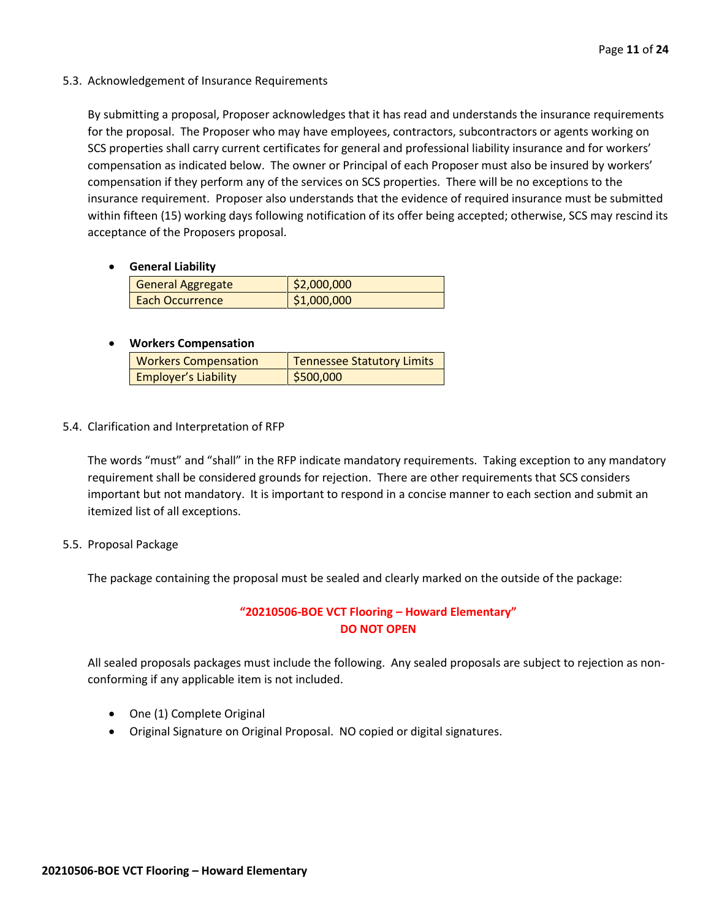5.3. Acknowledgement of Insurance Requirements

By submitting a proposal, Proposer acknowledges that it has read and understands the insurance requirements for the proposal. The Proposer who may have employees, contractors, subcontractors or agents working on SCS properties shall carry current certificates for general and professional liability insurance and for workers' compensation as indicated below. The owner or Principal of each Proposer must also be insured by workers' compensation if they perform any of the services on SCS properties. There will be no exceptions to the insurance requirement. Proposer also understands that the evidence of required insurance must be submitted within fifteen (15) working days following notification of its offer being accepted; otherwise, SCS may rescind its acceptance of the Proposers proposal.

• **General Liability**

| General Aggregate | \$2,000,000 |
|-------------------|-------------|
| Each Occurrence   | \$1,000,000 |

## • **Workers Compensation**

| <b>Workers Compensation</b> | <b>Tennessee Statutory Limits</b> |
|-----------------------------|-----------------------------------|
| <b>Employer's Liability</b> | \$500,000                         |

5.4. Clarification and Interpretation of RFP

The words "must" and "shall" in the RFP indicate mandatory requirements. Taking exception to any mandatory requirement shall be considered grounds for rejection. There are other requirements that SCS considers important but not mandatory. It is important to respond in a concise manner to each section and submit an itemized list of all exceptions.

5.5. Proposal Package

The package containing the proposal must be sealed and clearly marked on the outside of the package:

## **"20210506-BOE VCT Flooring – Howard Elementary" DO NOT OPEN**

All sealed proposals packages must include the following. Any sealed proposals are subject to rejection as nonconforming if any applicable item is not included.

- One (1) Complete Original
- Original Signature on Original Proposal. NO copied or digital signatures.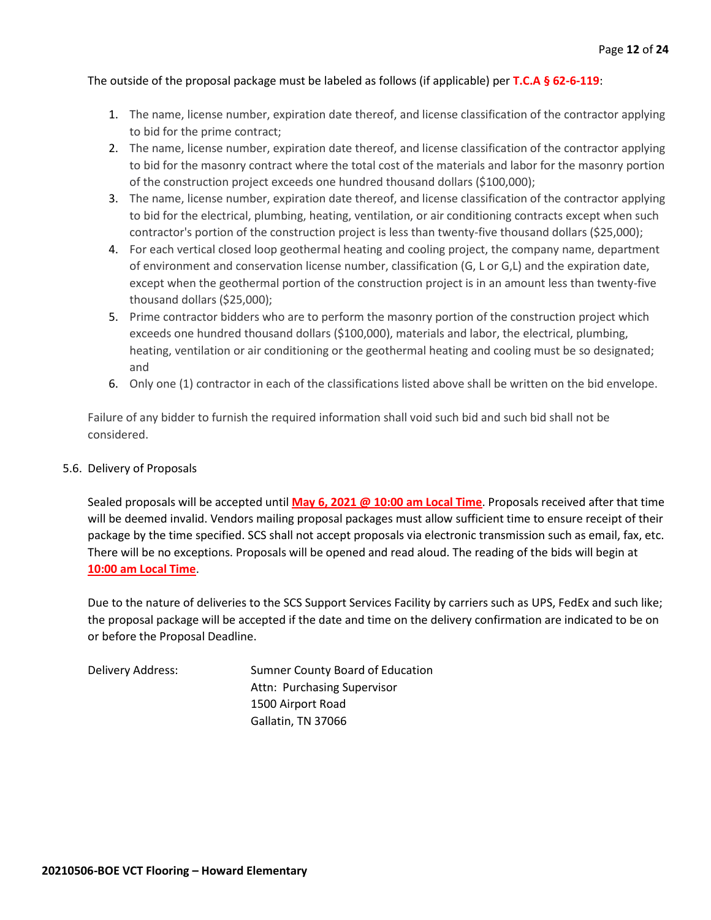## The outside of the proposal package must be labeled as follows (if applicable) per **T.C.A § 62-6-119**:

- 1. The name, license number, expiration date thereof, and license classification of the contractor applying to bid for the prime contract;
- 2. The name, license number, expiration date thereof, and license classification of the contractor applying to bid for the masonry contract where the total cost of the materials and labor for the masonry portion of the construction project exceeds one hundred thousand dollars (\$100,000);
- 3. The name, license number, expiration date thereof, and license classification of the contractor applying to bid for the electrical, plumbing, heating, ventilation, or air conditioning contracts except when such contractor's portion of the construction project is less than twenty-five thousand dollars (\$25,000);
- 4. For each vertical closed loop geothermal heating and cooling project, the company name, department of environment and conservation license number, classification (G, L or G,L) and the expiration date, except when the geothermal portion of the construction project is in an amount less than twenty-five thousand dollars (\$25,000);
- 5. Prime contractor bidders who are to perform the masonry portion of the construction project which exceeds one hundred thousand dollars (\$100,000), materials and labor, the electrical, plumbing, heating, ventilation or air conditioning or the geothermal heating and cooling must be so designated; and
- 6. Only one (1) contractor in each of the classifications listed above shall be written on the bid envelope.

Failure of any bidder to furnish the required information shall void such bid and such bid shall not be considered.

## 5.6. Delivery of Proposals

Sealed proposals will be accepted until **May 6, 2021 @ 10:00 am Local Time**. Proposals received after that time will be deemed invalid. Vendors mailing proposal packages must allow sufficient time to ensure receipt of their package by the time specified. SCS shall not accept proposals via electronic transmission such as email, fax, etc. There will be no exceptions. Proposals will be opened and read aloud. The reading of the bids will begin at **10:00 am Local Time**.

Due to the nature of deliveries to the SCS Support Services Facility by carriers such as UPS, FedEx and such like; the proposal package will be accepted if the date and time on the delivery confirmation are indicated to be on or before the Proposal Deadline.

Delivery Address: Sumner County Board of Education Attn: Purchasing Supervisor 1500 Airport Road Gallatin, TN 37066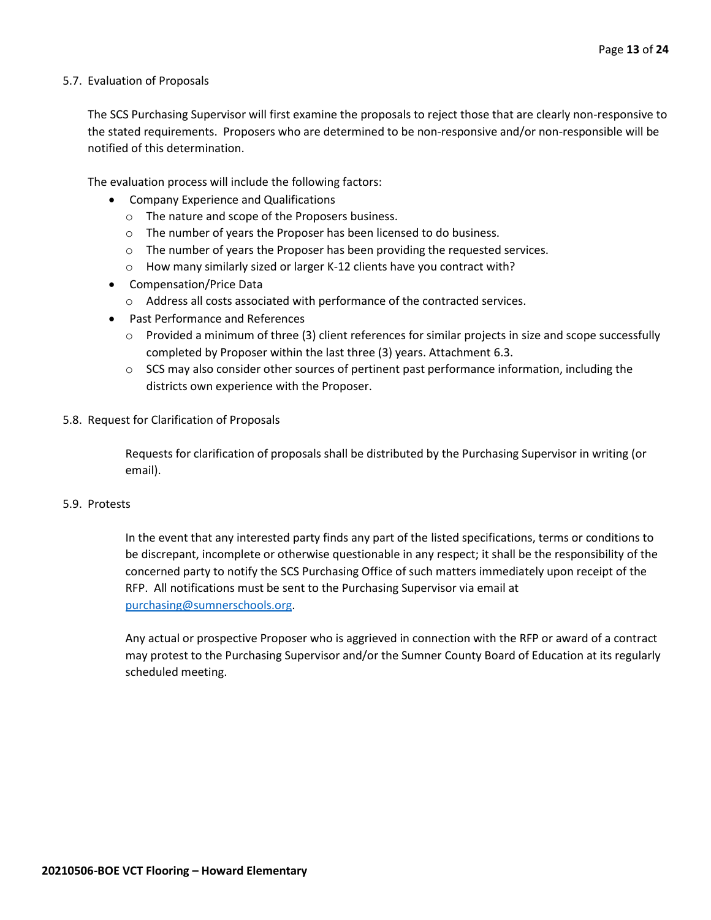## 5.7. Evaluation of Proposals

The SCS Purchasing Supervisor will first examine the proposals to reject those that are clearly non-responsive to the stated requirements. Proposers who are determined to be non-responsive and/or non-responsible will be notified of this determination.

The evaluation process will include the following factors:

- Company Experience and Qualifications
	- o The nature and scope of the Proposers business.
	- $\circ$  The number of years the Proposer has been licensed to do business.
	- $\circ$  The number of years the Proposer has been providing the requested services.
	- o How many similarly sized or larger K-12 clients have you contract with?
- Compensation/Price Data
	- o Address all costs associated with performance of the contracted services.
- Past Performance and References
	- $\circ$  Provided a minimum of three (3) client references for similar projects in size and scope successfully completed by Proposer within the last three (3) years. Attachment 6.3.
	- $\circ$  SCS may also consider other sources of pertinent past performance information, including the districts own experience with the Proposer.
- 5.8. Request for Clarification of Proposals

Requests for clarification of proposals shall be distributed by the Purchasing Supervisor in writing (or email).

## 5.9. Protests

In the event that any interested party finds any part of the listed specifications, terms or conditions to be discrepant, incomplete or otherwise questionable in any respect; it shall be the responsibility of the concerned party to notify the SCS Purchasing Office of such matters immediately upon receipt of the RFP. All notifications must be sent to the Purchasing Supervisor via email at [purchasing@sumnerschools.org.](mailto:purchasing@sumnerschools.org)

Any actual or prospective Proposer who is aggrieved in connection with the RFP or award of a contract may protest to the Purchasing Supervisor and/or the Sumner County Board of Education at its regularly scheduled meeting.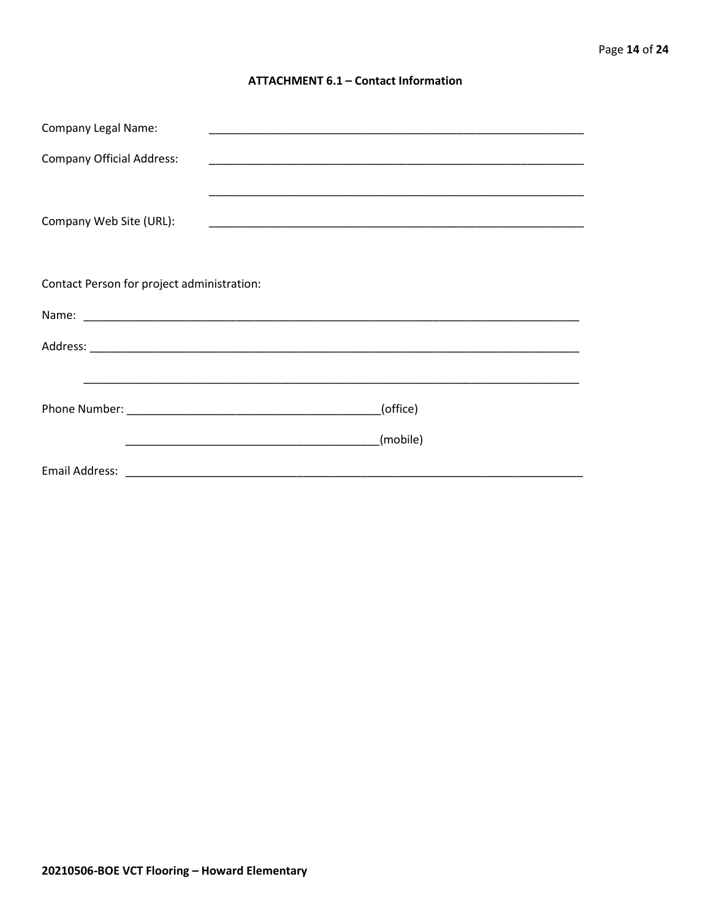## **ATTACHMENT 6.1 - Contact Information**

| <b>Company Legal Name:</b>                 |          |
|--------------------------------------------|----------|
| <b>Company Official Address:</b>           |          |
|                                            |          |
| Company Web Site (URL):                    |          |
|                                            |          |
|                                            |          |
| Contact Person for project administration: |          |
|                                            |          |
|                                            |          |
|                                            |          |
|                                            | (office) |
|                                            |          |
|                                            | (mobile) |
|                                            |          |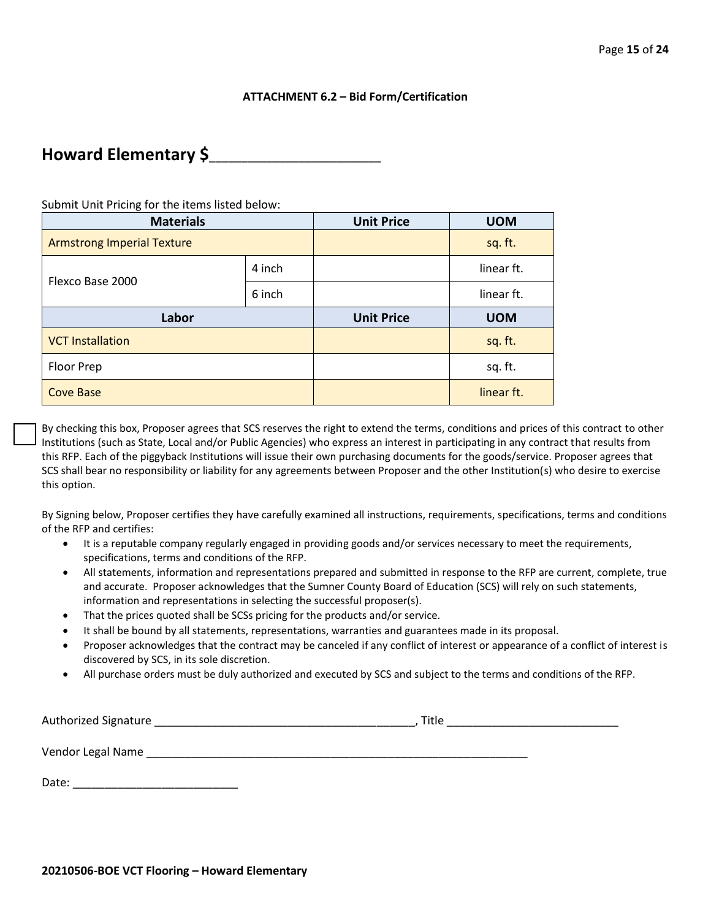## **ATTACHMENT 6.2 – Bid Form/Certification**

## **Howard Elementary \$**\_\_\_\_\_\_\_\_\_\_\_\_\_\_\_\_\_\_\_\_\_\_\_\_\_\_\_

Submit Unit Pricing for the items listed below:

| <b>Materials</b>                  |        | <b>Unit Price</b> | <b>UOM</b> |
|-----------------------------------|--------|-------------------|------------|
| <b>Armstrong Imperial Texture</b> |        |                   | sq. ft.    |
| Flexco Base 2000                  | 4 inch |                   | linear ft. |
|                                   | 6 inch |                   | linear ft. |
|                                   |        |                   |            |
| Labor                             |        | <b>Unit Price</b> | <b>UOM</b> |
| <b>VCT Installation</b>           |        |                   | sq. ft.    |
| Floor Prep                        |        |                   | sq. ft.    |

By checking this box, Proposer agrees that SCS reserves the right to extend the terms, conditions and prices of this contract to other Institutions (such as State, Local and/or Public Agencies) who express an interest in participating in any contract that results from this RFP. Each of the piggyback Institutions will issue their own purchasing documents for the goods/service. Proposer agrees that SCS shall bear no responsibility or liability for any agreements between Proposer and the other Institution(s) who desire to exercise this option.

By Signing below, Proposer certifies they have carefully examined all instructions, requirements, specifications, terms and conditions of the RFP and certifies:

- It is a reputable company regularly engaged in providing goods and/or services necessary to meet the requirements, specifications, terms and conditions of the RFP.
- All statements, information and representations prepared and submitted in response to the RFP are current, complete, true and accurate. Proposer acknowledges that the Sumner County Board of Education (SCS) will rely on such statements, information and representations in selecting the successful proposer(s).
- That the prices quoted shall be SCSs pricing for the products and/or service.
- It shall be bound by all statements, representations, warranties and guarantees made in its proposal.
- Proposer acknowledges that the contract may be canceled if any conflict of interest or appearance of a conflict of interest is discovered by SCS, in its sole discretion.
- All purchase orders must be duly authorized and executed by SCS and subject to the terms and conditions of the RFP.

Authorized Signature \_\_\_\_\_\_\_\_\_\_\_\_\_\_\_\_\_\_\_\_\_\_\_\_\_\_\_\_\_\_\_\_\_\_\_\_\_\_\_\_\_, Title \_\_\_\_\_\_\_\_\_\_\_\_\_\_\_\_\_\_\_\_\_\_\_\_\_\_\_

Vendor Legal Name was also as a series of the series of the series of the series of the series of the series of the series of the series of the series of the series of the series of the series of the series of the series o

Date: \_\_\_\_\_\_\_\_\_\_\_\_\_\_\_\_\_\_\_\_\_\_\_\_\_\_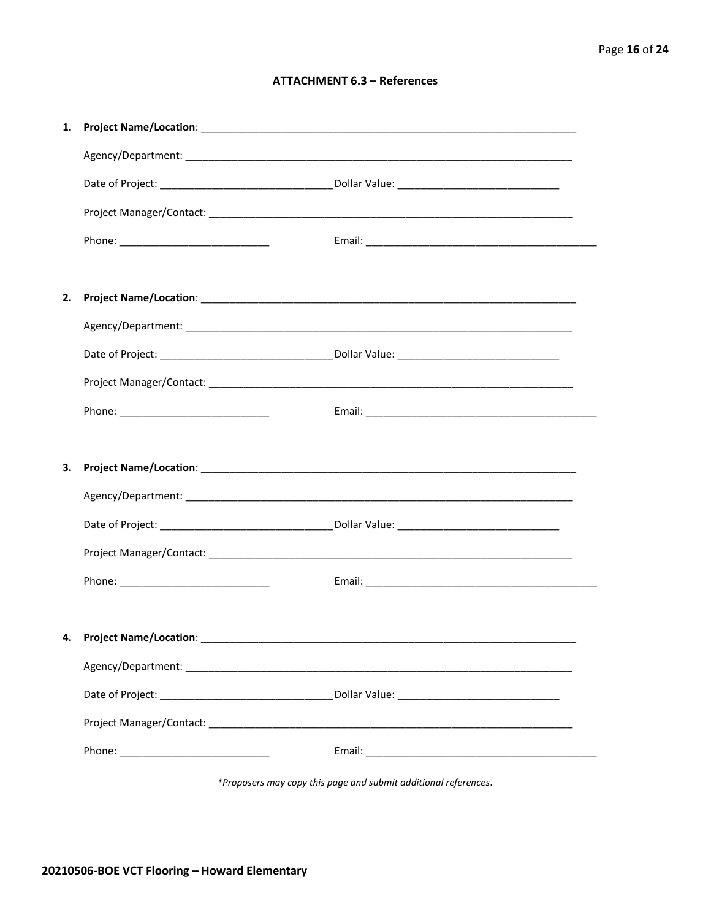## **ATTACHMENT 6.3 - References**

| 1. |                                     |  |
|----|-------------------------------------|--|
|    |                                     |  |
|    |                                     |  |
|    |                                     |  |
|    |                                     |  |
|    |                                     |  |
| 2. |                                     |  |
|    |                                     |  |
|    |                                     |  |
|    |                                     |  |
|    |                                     |  |
|    |                                     |  |
| 3. |                                     |  |
|    |                                     |  |
|    |                                     |  |
|    |                                     |  |
|    |                                     |  |
|    |                                     |  |
|    |                                     |  |
|    | 4. Project Name/Location: _________ |  |
|    |                                     |  |
|    |                                     |  |
|    |                                     |  |

\*Proposers may copy this page and submit additional references.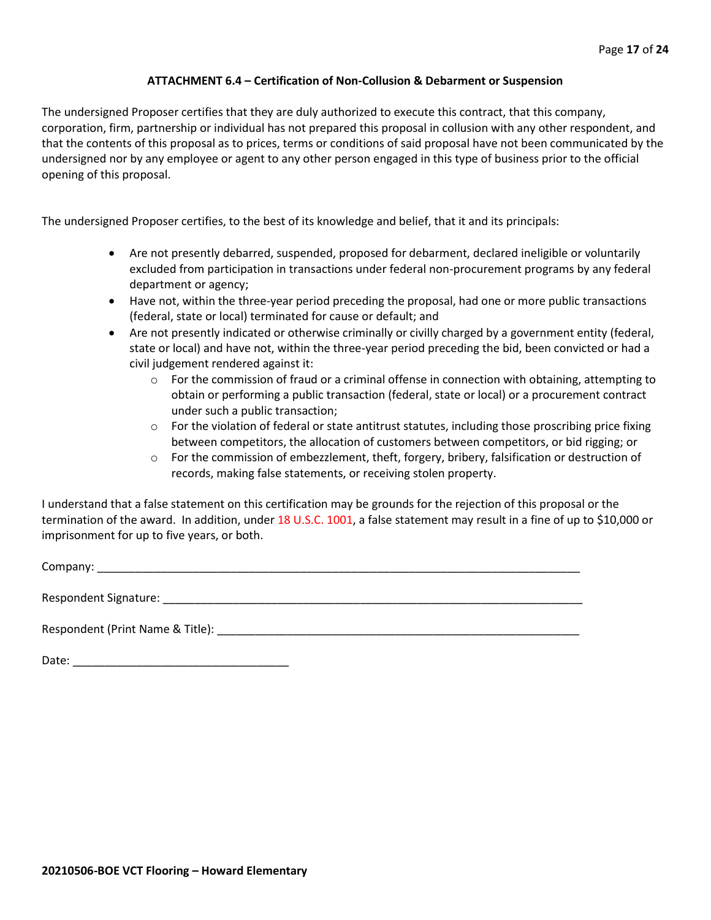## **ATTACHMENT 6.4 – Certification of Non-Collusion & Debarment or Suspension**

The undersigned Proposer certifies that they are duly authorized to execute this contract, that this company, corporation, firm, partnership or individual has not prepared this proposal in collusion with any other respondent, and that the contents of this proposal as to prices, terms or conditions of said proposal have not been communicated by the undersigned nor by any employee or agent to any other person engaged in this type of business prior to the official opening of this proposal.

The undersigned Proposer certifies, to the best of its knowledge and belief, that it and its principals:

- Are not presently debarred, suspended, proposed for debarment, declared ineligible or voluntarily excluded from participation in transactions under federal non-procurement programs by any federal department or agency;
- Have not, within the three-year period preceding the proposal, had one or more public transactions (federal, state or local) terminated for cause or default; and
- Are not presently indicated or otherwise criminally or civilly charged by a government entity (federal, state or local) and have not, within the three-year period preceding the bid, been convicted or had a civil judgement rendered against it:
	- $\circ$  For the commission of fraud or a criminal offense in connection with obtaining, attempting to obtain or performing a public transaction (federal, state or local) or a procurement contract under such a public transaction;
	- $\circ$  For the violation of federal or state antitrust statutes, including those proscribing price fixing between competitors, the allocation of customers between competitors, or bid rigging; or
	- o For the commission of embezzlement, theft, forgery, bribery, falsification or destruction of records, making false statements, or receiving stolen property.

I understand that a false statement on this certification may be grounds for the rejection of this proposal or the termination of the award. In addition, under 18 U.S.C. 1001, a false statement may result in a fine of up to \$10,000 or imprisonment for up to five years, or both.

Company: \_\_\_\_\_\_\_\_\_\_\_\_\_\_\_\_\_\_\_\_\_\_\_\_\_\_\_\_\_\_\_\_\_\_\_\_\_\_\_\_\_\_\_\_\_\_\_\_\_\_\_\_\_\_\_\_\_\_\_\_\_\_\_\_\_\_\_\_\_\_\_\_\_\_\_\_

Respondent Signature: \_\_\_\_\_\_\_\_\_\_\_\_\_\_\_\_\_\_\_\_\_\_\_\_\_\_\_\_\_\_\_\_\_\_\_\_\_\_\_\_\_\_\_\_\_\_\_\_\_\_\_\_\_\_\_\_\_\_\_\_\_\_\_\_\_\_

Respondent (Print Name & Title): \_\_\_\_\_\_\_\_\_\_\_\_\_\_\_\_\_\_\_\_\_\_\_\_\_\_\_\_\_\_\_\_\_\_\_\_\_\_\_\_\_\_\_\_\_\_\_\_\_\_\_\_\_\_\_\_\_

Date: \_\_\_\_\_\_\_\_\_\_\_\_\_\_\_\_\_\_\_\_\_\_\_\_\_\_\_\_\_\_\_\_\_\_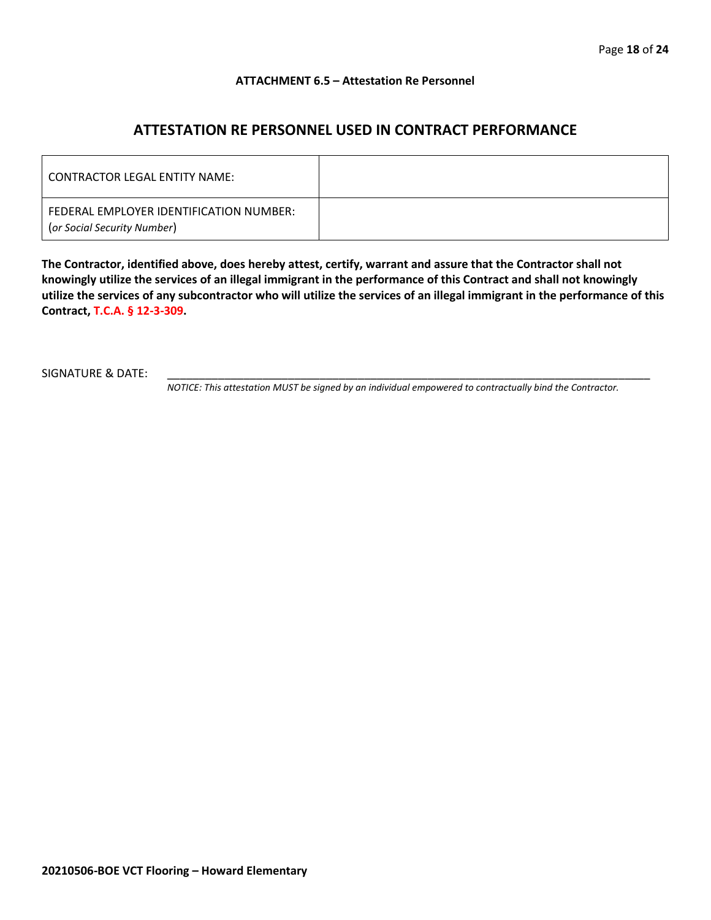## **ATTACHMENT 6.5 – Attestation Re Personnel**

## **ATTESTATION RE PERSONNEL USED IN CONTRACT PERFORMANCE**

| CONTRACTOR LEGAL ENTITY NAME:                                          |  |
|------------------------------------------------------------------------|--|
| FEDERAL EMPLOYER IDENTIFICATION NUMBER:<br>(or Social Security Number) |  |

**The Contractor, identified above, does hereby attest, certify, warrant and assure that the Contractor shall not knowingly utilize the services of an illegal immigrant in the performance of this Contract and shall not knowingly utilize the services of any subcontractor who will utilize the services of an illegal immigrant in the performance of this Contract, T.C.A. § 12-3-309.**

SIGNATURE & DATE:

*NOTICE: This attestation MUST be signed by an individual empowered to contractually bind the Contractor.*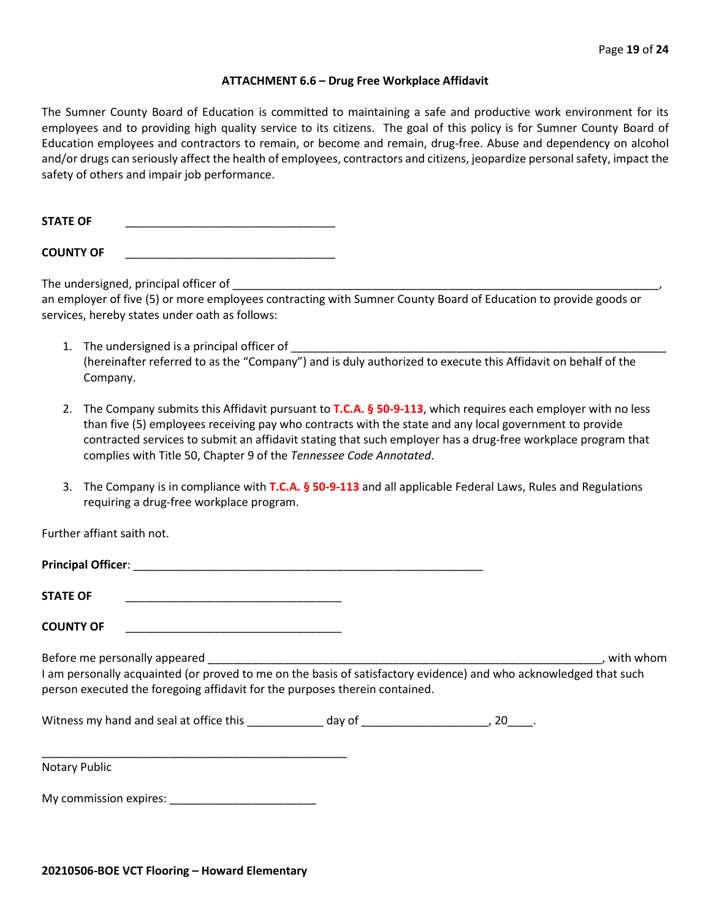## **ATTACHMENT 6.6 – Drug Free Workplace Affidavit**

The Sumner County Board of Education is committed to maintaining a safe and productive work environment for its employees and to providing high quality service to its citizens. The goal of this policy is for Sumner County Board of Education employees and contractors to remain, or become and remain, drug-free. Abuse and dependency on alcohol and/or drugs can seriously affect the health of employees, contractors and citizens, jeopardize personal safety, impact the safety of others and impair job performance.

STATE OF

**COUNTY OF** \_\_\_\_\_\_\_\_\_\_\_\_\_\_\_\_\_\_\_\_\_\_\_\_\_\_\_\_\_\_\_\_\_

The undersigned, principal officer of

an employer of five (5) or more employees contracting with Sumner County Board of Education to provide goods or services, hereby states under oath as follows:

- 1. The undersigned is a principal officer of (hereinafter referred to as the "Company") and is duly authorized to execute this Affidavit on behalf of the Company.
- 2. The Company submits this Affidavit pursuant to **T.C.A. § 50-9-113**, which requires each employer with no less than five (5) employees receiving pay who contracts with the state and any local government to provide contracted services to submit an affidavit stating that such employer has a drug-free workplace program that complies with Title 50, Chapter 9 of the *Tennessee Code Annotated*.
- 3. The Company is in compliance with **T.C.A. § 50-9-113** and all applicable Federal Laws, Rules and Regulations requiring a drug-free workplace program.

Further affiant saith not.

| <b>Principal Officer:</b> |  |
|---------------------------|--|
|                           |  |
| <b>STATE OF</b>           |  |

**COUNTY OF** \_\_\_\_\_\_\_\_\_\_\_\_\_\_\_\_\_\_\_\_\_\_\_\_\_\_\_\_\_\_\_\_\_\_

Before me personally appeared \_\_\_\_\_\_\_\_\_\_\_\_\_\_\_\_\_\_\_\_\_\_\_\_\_\_\_\_\_\_\_\_\_\_\_\_\_\_\_\_\_\_\_\_\_\_\_\_\_\_\_\_\_\_\_\_\_\_\_\_\_\_, with whom I am personally acquainted (or proved to me on the basis of satisfactory evidence) and who acknowledged that such person executed the foregoing affidavit for the purposes therein contained.

Witness my hand and seal at office this \_\_\_\_\_\_\_\_\_\_\_\_\_ day of \_\_\_\_\_\_\_\_\_\_\_\_\_\_\_\_\_\_\_\_, 20\_\_\_\_.

\_\_\_\_\_\_\_\_\_\_\_\_\_\_\_\_\_\_\_\_\_\_\_\_\_\_\_\_\_\_\_\_\_\_\_\_\_\_\_\_\_\_\_\_\_\_\_\_ Notary Public

My commission expires: \_\_\_\_\_\_\_\_\_\_\_\_\_\_\_\_\_\_\_\_\_\_\_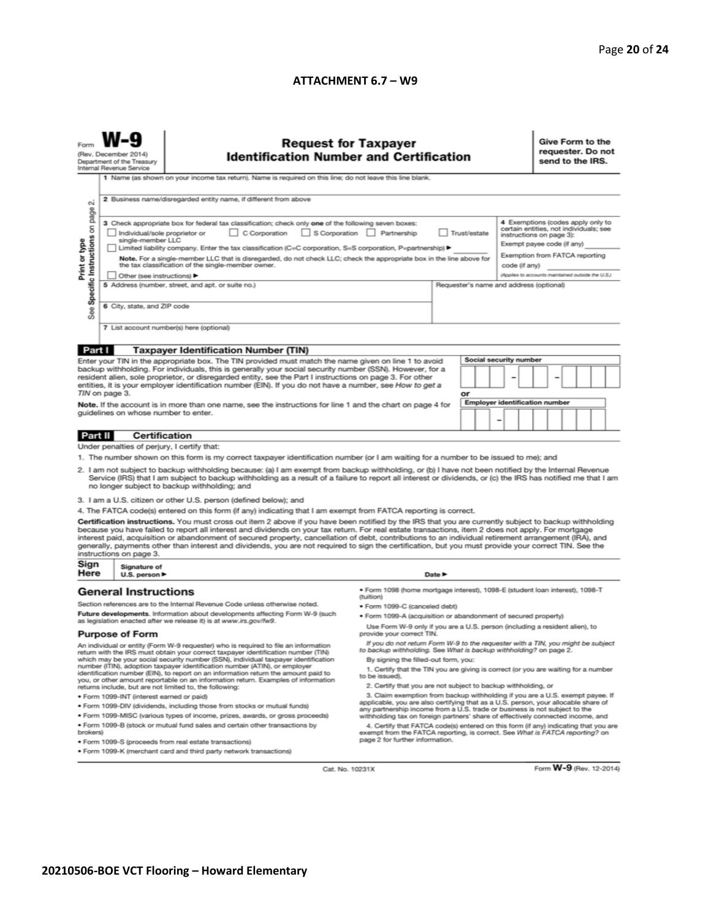## **ATTACHMENT 6.7 - W9**

|                                                                                                                                                                                                                                                                                                                                                                                                                                                                                                                                                                                    | <b>Request for Taxpayer</b><br><b>Identification Number and Certification</b><br>(Rev. December 2014)<br>Department of the Treasury<br>Internal Revenue Service<br>1 Name (as shown on your income tax return). Name is required on this line; do not leave this line blank.                                                                                                                                                                                                                                                           |                                                                                                                                                                                                                                                                                                                                                                                                                                                                                                                                                                                                                               |                                                                                                                                                                                                                                                                                                                                                                       |                            |    |  |                                       |  | Give Form to the<br>requester. Do not<br>send to the IRS.                                                                                                               |                                                   |  |  |  |  |  |
|------------------------------------------------------------------------------------------------------------------------------------------------------------------------------------------------------------------------------------------------------------------------------------------------------------------------------------------------------------------------------------------------------------------------------------------------------------------------------------------------------------------------------------------------------------------------------------|----------------------------------------------------------------------------------------------------------------------------------------------------------------------------------------------------------------------------------------------------------------------------------------------------------------------------------------------------------------------------------------------------------------------------------------------------------------------------------------------------------------------------------------|-------------------------------------------------------------------------------------------------------------------------------------------------------------------------------------------------------------------------------------------------------------------------------------------------------------------------------------------------------------------------------------------------------------------------------------------------------------------------------------------------------------------------------------------------------------------------------------------------------------------------------|-----------------------------------------------------------------------------------------------------------------------------------------------------------------------------------------------------------------------------------------------------------------------------------------------------------------------------------------------------------------------|----------------------------|----|--|---------------------------------------|--|-------------------------------------------------------------------------------------------------------------------------------------------------------------------------|---------------------------------------------------|--|--|--|--|--|
| N                                                                                                                                                                                                                                                                                                                                                                                                                                                                                                                                                                                  | 2 Business name/disregarded entity name, if different from above                                                                                                                                                                                                                                                                                                                                                                                                                                                                       |                                                                                                                                                                                                                                                                                                                                                                                                                                                                                                                                                                                                                               |                                                                                                                                                                                                                                                                                                                                                                       |                            |    |  |                                       |  |                                                                                                                                                                         |                                                   |  |  |  |  |  |
| page<br>Specific Instructions on<br>Print or type                                                                                                                                                                                                                                                                                                                                                                                                                                                                                                                                  | 3 Check appropriate box for federal tax classification; check only one of the following seven boxes:<br>S Corporation Partnership<br>C Corporation<br>Trust/estate<br>Individual/sole proprietor or<br>single-member LLC<br>Limited liability company. Enter the tax classification (C=C corporation, S=S corporation, P=partnership) ▶<br>Note. For a single-member LLC that is disregarded, do not check LLC; check the appropriate box in the line above for<br>the tax classification of the single-member owner.<br>code (if any) |                                                                                                                                                                                                                                                                                                                                                                                                                                                                                                                                                                                                                               |                                                                                                                                                                                                                                                                                                                                                                       |                            |    |  |                                       |  | 4 Exemptions (codes apply only to<br>certain entities, not individuals; see<br>instructions on page 3):<br>Exempt payee code (if any)<br>Exemption from FATCA reporting |                                                   |  |  |  |  |  |
| See                                                                                                                                                                                                                                                                                                                                                                                                                                                                                                                                                                                |                                                                                                                                                                                                                                                                                                                                                                                                                                                                                                                                        | Other (see instructions) ▶<br>5 Address (number, street, and apt. or suite no.)<br>Requester's name and address (optional)<br>6 City, state, and ZIP code                                                                                                                                                                                                                                                                                                                                                                                                                                                                     |                                                                                                                                                                                                                                                                                                                                                                       |                            |    |  |                                       |  |                                                                                                                                                                         | (Applies to accounts maintained outside the U.S.) |  |  |  |  |  |
|                                                                                                                                                                                                                                                                                                                                                                                                                                                                                                                                                                                    |                                                                                                                                                                                                                                                                                                                                                                                                                                                                                                                                        | 7 List account number(s) here (optional)                                                                                                                                                                                                                                                                                                                                                                                                                                                                                                                                                                                      |                                                                                                                                                                                                                                                                                                                                                                       |                            |    |  |                                       |  |                                                                                                                                                                         |                                                   |  |  |  |  |  |
| Part I                                                                                                                                                                                                                                                                                                                                                                                                                                                                                                                                                                             |                                                                                                                                                                                                                                                                                                                                                                                                                                                                                                                                        | <b>Taxpayer Identification Number (TIN)</b>                                                                                                                                                                                                                                                                                                                                                                                                                                                                                                                                                                                   |                                                                                                                                                                                                                                                                                                                                                                       |                            |    |  |                                       |  |                                                                                                                                                                         |                                                   |  |  |  |  |  |
|                                                                                                                                                                                                                                                                                                                                                                                                                                                                                                                                                                                    | TIN on page 3.                                                                                                                                                                                                                                                                                                                                                                                                                                                                                                                         | Enter your TIN in the appropriate box. The TIN provided must match the name given on line 1 to avoid<br>backup withholding. For individuals, this is generally your social security number (SSN). However, for a<br>resident alien, sole proprietor, or disregarded entity, see the Part I instructions on page 3. For other<br>entities, it is your employer identification number (EIN). If you do not have a number, see How to get a                                                                                                                                                                                      |                                                                                                                                                                                                                                                                                                                                                                       |                            | or |  | <b>Social security number</b>         |  |                                                                                                                                                                         |                                                   |  |  |  |  |  |
|                                                                                                                                                                                                                                                                                                                                                                                                                                                                                                                                                                                    |                                                                                                                                                                                                                                                                                                                                                                                                                                                                                                                                        | Note. If the account is in more than one name, see the instructions for line 1 and the chart on page 4 for                                                                                                                                                                                                                                                                                                                                                                                                                                                                                                                    |                                                                                                                                                                                                                                                                                                                                                                       |                            |    |  | <b>Employer identification number</b> |  |                                                                                                                                                                         |                                                   |  |  |  |  |  |
|                                                                                                                                                                                                                                                                                                                                                                                                                                                                                                                                                                                    | quidelines on whose number to enter.                                                                                                                                                                                                                                                                                                                                                                                                                                                                                                   |                                                                                                                                                                                                                                                                                                                                                                                                                                                                                                                                                                                                                               |                                                                                                                                                                                                                                                                                                                                                                       |                            |    |  | -                                     |  |                                                                                                                                                                         |                                                   |  |  |  |  |  |
| <b>Part II</b>                                                                                                                                                                                                                                                                                                                                                                                                                                                                                                                                                                     | Certification                                                                                                                                                                                                                                                                                                                                                                                                                                                                                                                          |                                                                                                                                                                                                                                                                                                                                                                                                                                                                                                                                                                                                                               |                                                                                                                                                                                                                                                                                                                                                                       |                            |    |  |                                       |  |                                                                                                                                                                         |                                                   |  |  |  |  |  |
|                                                                                                                                                                                                                                                                                                                                                                                                                                                                                                                                                                                    | Under penalties of perjury, I certify that:                                                                                                                                                                                                                                                                                                                                                                                                                                                                                            |                                                                                                                                                                                                                                                                                                                                                                                                                                                                                                                                                                                                                               |                                                                                                                                                                                                                                                                                                                                                                       |                            |    |  |                                       |  |                                                                                                                                                                         |                                                   |  |  |  |  |  |
|                                                                                                                                                                                                                                                                                                                                                                                                                                                                                                                                                                                    |                                                                                                                                                                                                                                                                                                                                                                                                                                                                                                                                        | 1. The number shown on this form is my correct taxpayer identification number (or I am waiting for a number to be issued to me); and<br>2. I am not subject to backup withholding because: (a) I am exempt from backup withholding, or (b) I have not been notified by the Internal Revenue<br>Service (IRS) that I am subject to backup withholding as a result of a failure to report all interest or dividends, or (c) the IRS has notified me that I am<br>no longer subject to backup withholding; and                                                                                                                   |                                                                                                                                                                                                                                                                                                                                                                       |                            |    |  |                                       |  |                                                                                                                                                                         |                                                   |  |  |  |  |  |
|                                                                                                                                                                                                                                                                                                                                                                                                                                                                                                                                                                                    |                                                                                                                                                                                                                                                                                                                                                                                                                                                                                                                                        | 3. I am a U.S. citizen or other U.S. person (defined below); and                                                                                                                                                                                                                                                                                                                                                                                                                                                                                                                                                              |                                                                                                                                                                                                                                                                                                                                                                       |                            |    |  |                                       |  |                                                                                                                                                                         |                                                   |  |  |  |  |  |
|                                                                                                                                                                                                                                                                                                                                                                                                                                                                                                                                                                                    |                                                                                                                                                                                                                                                                                                                                                                                                                                                                                                                                        | 4. The FATCA code(s) entered on this form (if any) indicating that I am exempt from FATCA reporting is correct.                                                                                                                                                                                                                                                                                                                                                                                                                                                                                                               |                                                                                                                                                                                                                                                                                                                                                                       |                            |    |  |                                       |  |                                                                                                                                                                         |                                                   |  |  |  |  |  |
|                                                                                                                                                                                                                                                                                                                                                                                                                                                                                                                                                                                    | instructions on page 3.                                                                                                                                                                                                                                                                                                                                                                                                                                                                                                                | Certification instructions. You must cross out item 2 above if you have been notified by the IRS that you are currently subject to backup withholding<br>because you have failed to report all interest and dividends on your tax return. For real estate transactions, item 2 does not apply. For mortgage<br>interest paid, acquisition or abandonment of secured property, cancellation of debt, contributions to an individual retirement arrangement (IRA), and<br>generally, payments other than interest and dividends, you are not required to sign the certification, but you must provide your correct TIN. See the |                                                                                                                                                                                                                                                                                                                                                                       |                            |    |  |                                       |  |                                                                                                                                                                         |                                                   |  |  |  |  |  |
| Sign<br>Here                                                                                                                                                                                                                                                                                                                                                                                                                                                                                                                                                                       | Signature of<br>U.S. person $\blacktriangleright$                                                                                                                                                                                                                                                                                                                                                                                                                                                                                      |                                                                                                                                                                                                                                                                                                                                                                                                                                                                                                                                                                                                                               |                                                                                                                                                                                                                                                                                                                                                                       | Date $\blacktriangleright$ |    |  |                                       |  |                                                                                                                                                                         |                                                   |  |  |  |  |  |
|                                                                                                                                                                                                                                                                                                                                                                                                                                                                                                                                                                                    | <b>General Instructions</b>                                                                                                                                                                                                                                                                                                                                                                                                                                                                                                            | Section references are to the Internal Revenue Code unless otherwise noted.                                                                                                                                                                                                                                                                                                                                                                                                                                                                                                                                                   | · Form 1098 (home mortgage interest), 1098-E (student loan interest), 1098-T<br>(tuition)                                                                                                                                                                                                                                                                             |                            |    |  |                                       |  |                                                                                                                                                                         |                                                   |  |  |  |  |  |
|                                                                                                                                                                                                                                                                                                                                                                                                                                                                                                                                                                                    |                                                                                                                                                                                                                                                                                                                                                                                                                                                                                                                                        | Future developments. Information about developments affecting Form W-9 (such                                                                                                                                                                                                                                                                                                                                                                                                                                                                                                                                                  | · Form 1099-C (canceled debt)                                                                                                                                                                                                                                                                                                                                         |                            |    |  |                                       |  |                                                                                                                                                                         |                                                   |  |  |  |  |  |
|                                                                                                                                                                                                                                                                                                                                                                                                                                                                                                                                                                                    |                                                                                                                                                                                                                                                                                                                                                                                                                                                                                                                                        | as legislation enacted after we release it) is at www.irs.gov/fw9.                                                                                                                                                                                                                                                                                                                                                                                                                                                                                                                                                            | · Form 1099-A (acquisition or abandonment of secured property)<br>Use Form W-9 only if you are a U.S. person (including a resident alien), to                                                                                                                                                                                                                         |                            |    |  |                                       |  |                                                                                                                                                                         |                                                   |  |  |  |  |  |
|                                                                                                                                                                                                                                                                                                                                                                                                                                                                                                                                                                                    | <b>Purpose of Form</b>                                                                                                                                                                                                                                                                                                                                                                                                                                                                                                                 | provide your correct TIN.                                                                                                                                                                                                                                                                                                                                                                                                                                                                                                                                                                                                     |                                                                                                                                                                                                                                                                                                                                                                       |                            |    |  |                                       |  |                                                                                                                                                                         |                                                   |  |  |  |  |  |
| An individual or entity (Form W-9 requester) who is required to file an information<br>return with the IRS must obtain your correct taxpayer identification number (TIN)<br>which may be your social security number (SSN), individual taxpayer identification<br>number (ITIN), adoption taxpayer identification number (ATIN), or employer<br>identification number (EIN), to report on an information return the amount paid to<br>you, or other amount reportable on an information return. Examples of information<br>returns include, but are not limited to, the following: |                                                                                                                                                                                                                                                                                                                                                                                                                                                                                                                                        |                                                                                                                                                                                                                                                                                                                                                                                                                                                                                                                                                                                                                               | If you do not return Form W-9 to the requester with a TIN, you might be subject<br>to backup withholding. See What is backup withholding? on page 2.<br>By signing the filled-out form, you:<br>1. Certify that the TIN you are giving is correct (or you are waiting for a number<br>to be issued).<br>2. Certify that you are not subject to backup withholding, or |                            |    |  |                                       |  |                                                                                                                                                                         |                                                   |  |  |  |  |  |
|                                                                                                                                                                                                                                                                                                                                                                                                                                                                                                                                                                                    | · Form 1099-INT (interest earned or paid)                                                                                                                                                                                                                                                                                                                                                                                                                                                                                              | 3. Claim exemption from backup withholding if you are a U.S. exempt payee. If                                                                                                                                                                                                                                                                                                                                                                                                                                                                                                                                                 |                                                                                                                                                                                                                                                                                                                                                                       |                            |    |  |                                       |  |                                                                                                                                                                         |                                                   |  |  |  |  |  |
|                                                                                                                                                                                                                                                                                                                                                                                                                                                                                                                                                                                    | . Form 1099-DIV (dividends, including those from stocks or mutual funds)                                                                                                                                                                                                                                                                                                                                                                                                                                                               | applicable, you are also certifying that as a U.S. person, your allocable share of<br>any partnership income from a U.S. trade or business is not subject to the                                                                                                                                                                                                                                                                                                                                                                                                                                                              |                                                                                                                                                                                                                                                                                                                                                                       |                            |    |  |                                       |  |                                                                                                                                                                         |                                                   |  |  |  |  |  |
| brokers)                                                                                                                                                                                                                                                                                                                                                                                                                                                                                                                                                                           | . Form 1099-MISC (various types of income, prizes, awards, or gross proceeds)<br>. Form 1099-B (stock or mutual fund sales and certain other transactions by                                                                                                                                                                                                                                                                                                                                                                           | withholding tax on foreign partners' share of effectively connected income, and<br>4. Certify that FATCA code(s) entered on this form (if any) indicating that you are<br>exempt from the FATCA reporting, is correct. See What is FATCA reporting? on                                                                                                                                                                                                                                                                                                                                                                        |                                                                                                                                                                                                                                                                                                                                                                       |                            |    |  |                                       |  |                                                                                                                                                                         |                                                   |  |  |  |  |  |
| page 2 for further information.<br>· Form 1099-S (proceeds from real estate transactions)<br>. Form 1099-K (merchant card and third party network transactions)                                                                                                                                                                                                                                                                                                                                                                                                                    |                                                                                                                                                                                                                                                                                                                                                                                                                                                                                                                                        |                                                                                                                                                                                                                                                                                                                                                                                                                                                                                                                                                                                                                               |                                                                                                                                                                                                                                                                                                                                                                       |                            |    |  |                                       |  |                                                                                                                                                                         |                                                   |  |  |  |  |  |

Cat. No. 10231X

Form **W-9** (Rev. 12-2014)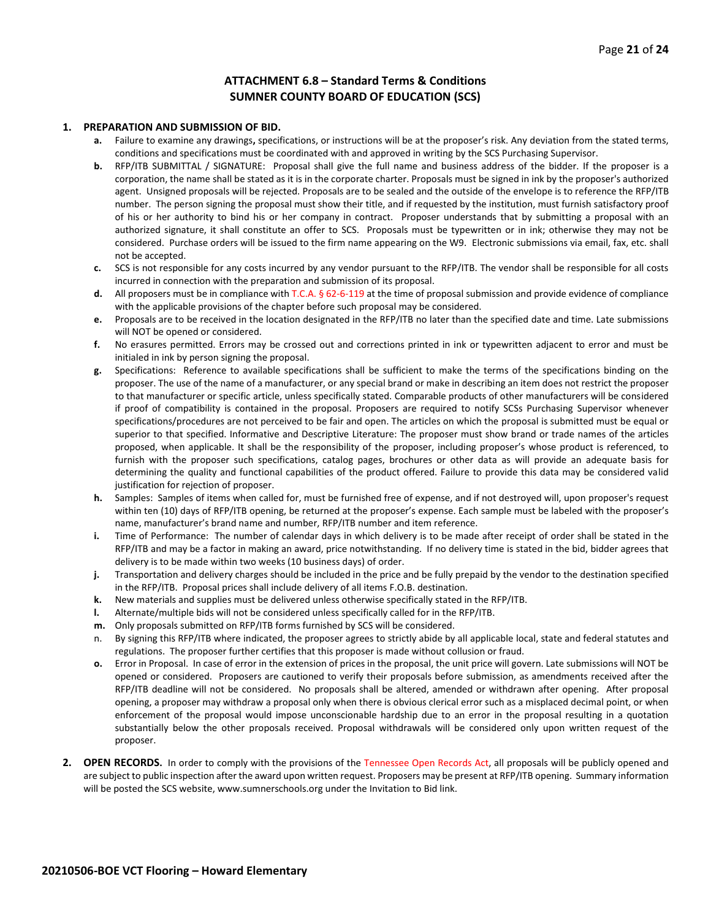## **ATTACHMENT 6.8 – Standard Terms & Conditions SUMNER COUNTY BOARD OF EDUCATION (SCS)**

### **1. PREPARATION AND SUBMISSION OF BID.**

- **a.** Failure to examine any drawings**,** specifications, or instructions will be at the proposer's risk. Any deviation from the stated terms, conditions and specifications must be coordinated with and approved in writing by the SCS Purchasing Supervisor.
- **b.** RFP/ITB SUBMITTAL / SIGNATURE: Proposal shall give the full name and business address of the bidder. If the proposer is a corporation, the name shall be stated as it is in the corporate charter. Proposals must be signed in ink by the proposer's authorized agent. Unsigned proposals will be rejected. Proposals are to be sealed and the outside of the envelope is to reference the RFP/ITB number. The person signing the proposal must show their title, and if requested by the institution, must furnish satisfactory proof of his or her authority to bind his or her company in contract. Proposer understands that by submitting a proposal with an authorized signature, it shall constitute an offer to SCS. Proposals must be typewritten or in ink; otherwise they may not be considered. Purchase orders will be issued to the firm name appearing on the W9. Electronic submissions via email, fax, etc. shall not be accepted.
- **c.** SCS is not responsible for any costs incurred by any vendor pursuant to the RFP/ITB. The vendor shall be responsible for all costs incurred in connection with the preparation and submission of its proposal.
- **d.** All proposers must be in compliance with T.C.A. § 62-6-119 at the time of proposal submission and provide evidence of compliance with the applicable provisions of the chapter before such proposal may be considered.
- **e.** Proposals are to be received in the location designated in the RFP/ITB no later than the specified date and time. Late submissions will NOT be opened or considered.
- **f.** No erasures permitted. Errors may be crossed out and corrections printed in ink or typewritten adjacent to error and must be initialed in ink by person signing the proposal.
- **g.** Specifications: Reference to available specifications shall be sufficient to make the terms of the specifications binding on the proposer. The use of the name of a manufacturer, or any special brand or make in describing an item does not restrict the proposer to that manufacturer or specific article, unless specifically stated. Comparable products of other manufacturers will be considered if proof of compatibility is contained in the proposal. Proposers are required to notify SCSs Purchasing Supervisor whenever specifications/procedures are not perceived to be fair and open. The articles on which the proposal is submitted must be equal or superior to that specified. Informative and Descriptive Literature: The proposer must show brand or trade names of the articles proposed, when applicable. It shall be the responsibility of the proposer, including proposer's whose product is referenced, to furnish with the proposer such specifications, catalog pages, brochures or other data as will provide an adequate basis for determining the quality and functional capabilities of the product offered. Failure to provide this data may be considered valid justification for rejection of proposer.
- **h.** Samples: Samples of items when called for, must be furnished free of expense, and if not destroyed will, upon proposer's request within ten (10) days of RFP/ITB opening, be returned at the proposer's expense. Each sample must be labeled with the proposer's name, manufacturer's brand name and number, RFP/ITB number and item reference.
- **i.** Time of Performance: The number of calendar days in which delivery is to be made after receipt of order shall be stated in the RFP/ITB and may be a factor in making an award, price notwithstanding. If no delivery time is stated in the bid, bidder agrees that delivery is to be made within two weeks (10 business days) of order.
- **j.** Transportation and delivery charges should be included in the price and be fully prepaid by the vendor to the destination specified in the RFP/ITB. Proposal prices shall include delivery of all items F.O.B. destination.
- **k.** New materials and supplies must be delivered unless otherwise specifically stated in the RFP/ITB.
- **l.** Alternate/multiple bids will not be considered unless specifically called for in the RFP/ITB.
- **m.** Only proposals submitted on RFP/ITB forms furnished by SCS will be considered.
- n. By signing this RFP/ITB where indicated, the proposer agrees to strictly abide by all applicable local, state and federal statutes and regulations. The proposer further certifies that this proposer is made without collusion or fraud.
- **o.** Error in Proposal. In case of error in the extension of prices in the proposal, the unit price will govern. Late submissions will NOT be opened or considered. Proposers are cautioned to verify their proposals before submission, as amendments received after the RFP/ITB deadline will not be considered. No proposals shall be altered, amended or withdrawn after opening. After proposal opening, a proposer may withdraw a proposal only when there is obvious clerical error such as a misplaced decimal point, or when enforcement of the proposal would impose unconscionable hardship due to an error in the proposal resulting in a quotation substantially below the other proposals received. Proposal withdrawals will be considered only upon written request of the proposer.
- **2. OPEN RECORDS.** In order to comply with the provisions of the Tennessee Open Records Act, all proposals will be publicly opened and are subject to public inspection after the award upon written request. Proposers may be present at RFP/ITB opening. Summary information will be posted the SCS website, www.sumnerschools.org under the Invitation to Bid link.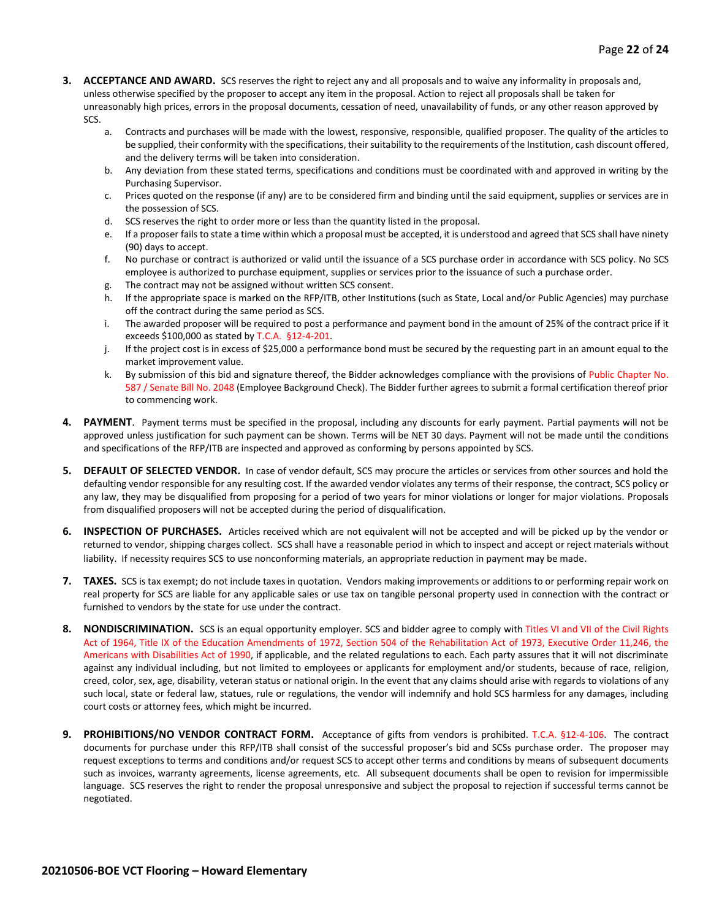- **3. ACCEPTANCE AND AWARD.** SCS reserves the right to reject any and all proposals and to waive any informality in proposals and, unless otherwise specified by the proposer to accept any item in the proposal. Action to reject all proposals shall be taken for unreasonably high prices, errors in the proposal documents, cessation of need, unavailability of funds, or any other reason approved by SCS.
	- a. Contracts and purchases will be made with the lowest, responsive, responsible, qualified proposer. The quality of the articles to be supplied, their conformity with the specifications, their suitability to the requirements of the Institution, cash discount offered, and the delivery terms will be taken into consideration.
	- b. Any deviation from these stated terms, specifications and conditions must be coordinated with and approved in writing by the Purchasing Supervisor.
	- c. Prices quoted on the response (if any) are to be considered firm and binding until the said equipment, supplies or services are in the possession of SCS.
	- d. SCS reserves the right to order more or less than the quantity listed in the proposal.
	- e. If a proposer fails to state a time within which a proposal must be accepted, it is understood and agreed that SCS shall have ninety (90) days to accept.
	- f. No purchase or contract is authorized or valid until the issuance of a SCS purchase order in accordance with SCS policy. No SCS employee is authorized to purchase equipment, supplies or services prior to the issuance of such a purchase order.
	- g. The contract may not be assigned without written SCS consent.
	- h. If the appropriate space is marked on the RFP/ITB, other Institutions (such as State, Local and/or Public Agencies) may purchase off the contract during the same period as SCS.
	- i. The awarded proposer will be required to post a performance and payment bond in the amount of 25% of the contract price if it exceeds \$100,000 as stated by T.C.A. §12-4-201.
	- j. If the project cost is in excess of \$25,000 a performance bond must be secured by the requesting part in an amount equal to the market improvement value.
	- k. By submission of this bid and signature thereof, the Bidder acknowledges compliance with the provisions of Public Chapter No. 587 / Senate Bill No. 2048 (Employee Background Check). The Bidder further agrees to submit a formal certification thereof prior to commencing work.
- **4. PAYMENT**. Payment terms must be specified in the proposal, including any discounts for early payment. Partial payments will not be approved unless justification for such payment can be shown. Terms will be NET 30 days. Payment will not be made until the conditions and specifications of the RFP/ITB are inspected and approved as conforming by persons appointed by SCS.
- **5. DEFAULT OF SELECTED VENDOR.** In case of vendor default, SCS may procure the articles or services from other sources and hold the defaulting vendor responsible for any resulting cost. If the awarded vendor violates any terms of their response, the contract, SCS policy or any law, they may be disqualified from proposing for a period of two years for minor violations or longer for major violations. Proposals from disqualified proposers will not be accepted during the period of disqualification.
- **6. INSPECTION OF PURCHASES.** Articles received which are not equivalent will not be accepted and will be picked up by the vendor or returned to vendor, shipping charges collect. SCS shall have a reasonable period in which to inspect and accept or reject materials without liability. If necessity requires SCS to use nonconforming materials, an appropriate reduction in payment may be made.
- **7. TAXES.** SCS is tax exempt; do not include taxes in quotation. Vendors making improvements or additions to or performing repair work on real property for SCS are liable for any applicable sales or use tax on tangible personal property used in connection with the contract or furnished to vendors by the state for use under the contract.
- **8. NONDISCRIMINATION.** SCS is an equal opportunity employer. SCS and bidder agree to comply with Titles VI and VII of the Civil Rights Act of 1964, Title IX of the Education Amendments of 1972, Section 504 of the Rehabilitation Act of 1973, Executive Order 11,246, the Americans with Disabilities Act of 1990, if applicable, and the related regulations to each. Each party assures that it will not discriminate against any individual including, but not limited to employees or applicants for employment and/or students, because of race, religion, creed, color, sex, age, disability, veteran status or national origin. In the event that any claims should arise with regards to violations of any such local, state or federal law, statues, rule or regulations, the vendor will indemnify and hold SCS harmless for any damages, including court costs or attorney fees, which might be incurred.
- **9. PROHIBITIONS/NO VENDOR CONTRACT FORM.** Acceptance of gifts from vendors is prohibited. T.C.A. §12-4-106. The contract documents for purchase under this RFP/ITB shall consist of the successful proposer's bid and SCSs purchase order. The proposer may request exceptions to terms and conditions and/or request SCS to accept other terms and conditions by means of subsequent documents such as invoices, warranty agreements, license agreements, etc. All subsequent documents shall be open to revision for impermissible language. SCS reserves the right to render the proposal unresponsive and subject the proposal to rejection if successful terms cannot be negotiated.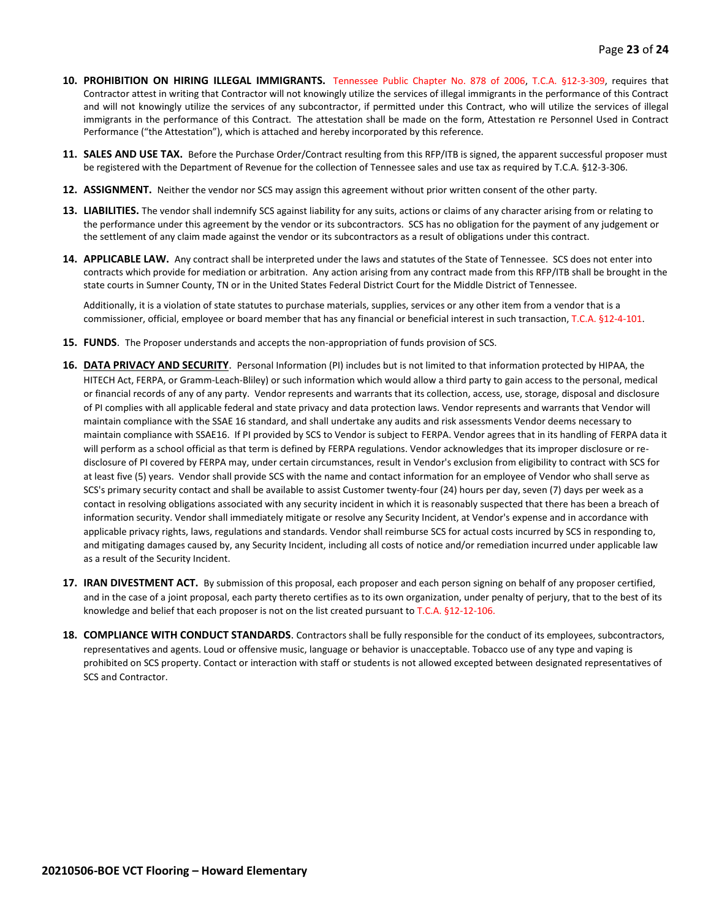- **10. PROHIBITION ON HIRING ILLEGAL IMMIGRANTS.** Tennessee Public Chapter No. 878 of 2006, T.C.A. §12-3-309, requires that Contractor attest in writing that Contractor will not knowingly utilize the services of illegal immigrants in the performance of this Contract and will not knowingly utilize the services of any subcontractor, if permitted under this Contract, who will utilize the services of illegal immigrants in the performance of this Contract. The attestation shall be made on the form, Attestation re Personnel Used in Contract Performance ("the Attestation"), which is attached and hereby incorporated by this reference.
- **11. SALES AND USE TAX.** Before the Purchase Order/Contract resulting from this RFP/ITB is signed, the apparent successful proposer must be registered with the Department of Revenue for the collection of Tennessee sales and use tax as required by T.C.A. §12-3-306.
- **12. ASSIGNMENT.** Neither the vendor nor SCS may assign this agreement without prior written consent of the other party.
- **13. LIABILITIES.** The vendor shall indemnify SCS against liability for any suits, actions or claims of any character arising from or relating to the performance under this agreement by the vendor or its subcontractors. SCS has no obligation for the payment of any judgement or the settlement of any claim made against the vendor or its subcontractors as a result of obligations under this contract.
- **14. APPLICABLE LAW.** Any contract shall be interpreted under the laws and statutes of the State of Tennessee. SCS does not enter into contracts which provide for mediation or arbitration. Any action arising from any contract made from this RFP/ITB shall be brought in the state courts in Sumner County, TN or in the United States Federal District Court for the Middle District of Tennessee.

Additionally, it is a violation of state statutes to purchase materials, supplies, services or any other item from a vendor that is a commissioner, official, employee or board member that has any financial or beneficial interest in such transaction, T.C.A. §12-4-101.

- **15. FUNDS**. The Proposer understands and accepts the non-appropriation of funds provision of SCS.
- **16. DATA PRIVACY AND SECURITY**. Personal Information (PI) includes but is not limited to that information protected by HIPAA, the HITECH Act, FERPA, or Gramm-Leach-Bliley) or such information which would allow a third party to gain access to the personal, medical or financial records of any of any party. Vendor represents and warrants that its collection, access, use, storage, disposal and disclosure of PI complies with all applicable federal and state privacy and data protection laws. Vendor represents and warrants that Vendor will maintain compliance with the SSAE 16 standard, and shall undertake any audits and risk assessments Vendor deems necessary to maintain compliance with SSAE16. If PI provided by SCS to Vendor is subject to FERPA. Vendor agrees that in its handling of FERPA data it will perform as a school official as that term is defined by FERPA regulations. Vendor acknowledges that its improper disclosure or redisclosure of PI covered by FERPA may, under certain circumstances, result in Vendor's exclusion from eligibility to contract with SCS for at least five (5) years. Vendor shall provide SCS with the name and contact information for an employee of Vendor who shall serve as SCS's primary security contact and shall be available to assist Customer twenty-four (24) hours per day, seven (7) days per week as a contact in resolving obligations associated with any security incident in which it is reasonably suspected that there has been a breach of information security. Vendor shall immediately mitigate or resolve any Security Incident, at Vendor's expense and in accordance with applicable privacy rights, laws, regulations and standards. Vendor shall reimburse SCS for actual costs incurred by SCS in responding to, and mitigating damages caused by, any Security Incident, including all costs of notice and/or remediation incurred under applicable law as a result of the Security Incident.
- **17. IRAN DIVESTMENT ACT.** By submission of this proposal, each proposer and each person signing on behalf of any proposer certified, and in the case of a joint proposal, each party thereto certifies as to its own organization, under penalty of perjury, that to the best of its knowledge and belief that each proposer is not on the list created pursuant to T.C.A. §12-12-106.
- **18. COMPLIANCE WITH CONDUCT STANDARDS**. Contractors shall be fully responsible for the conduct of its employees, subcontractors, representatives and agents. Loud or offensive music, language or behavior is unacceptable. Tobacco use of any type and vaping is prohibited on SCS property. Contact or interaction with staff or students is not allowed excepted between designated representatives of SCS and Contractor.